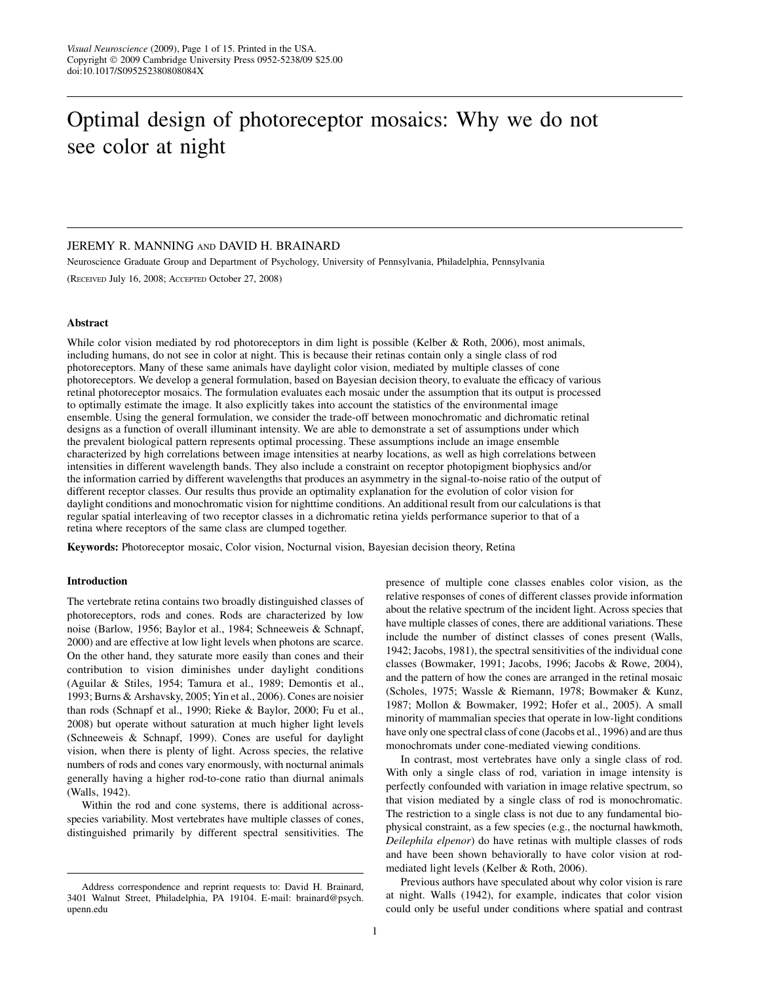# Optimal design of photoreceptor mosaics: Why we do not see color at night

## JEREMY R. MANNING AND DAVID H. BRAINARD

Neuroscience Graduate Group and Department of Psychology, University of Pennsylvania, Philadelphia, Pennsylvania (RECEIVED July 16, 2008; ACCEPTED October 27, 2008)

## Abstract

While color vision mediated by rod photoreceptors in dim light is possible (Kelber & Roth, 2006), most animals, including humans, do not see in color at night. This is because their retinas contain only a single class of rod photoreceptors. Many of these same animals have daylight color vision, mediated by multiple classes of cone photoreceptors. We develop a general formulation, based on Bayesian decision theory, to evaluate the efficacy of various retinal photoreceptor mosaics. The formulation evaluates each mosaic under the assumption that its output is processed to optimally estimate the image. It also explicitly takes into account the statistics of the environmental image ensemble. Using the general formulation, we consider the trade-off between monochromatic and dichromatic retinal designs as a function of overall illuminant intensity. We are able to demonstrate a set of assumptions under which the prevalent biological pattern represents optimal processing. These assumptions include an image ensemble characterized by high correlations between image intensities at nearby locations, as well as high correlations between intensities in different wavelength bands. They also include a constraint on receptor photopigment biophysics and/or the information carried by different wavelengths that produces an asymmetry in the signal-to-noise ratio of the output of different receptor classes. Our results thus provide an optimality explanation for the evolution of color vision for daylight conditions and monochromatic vision for nighttime conditions. An additional result from our calculations is that regular spatial interleaving of two receptor classes in a dichromatic retina yields performance superior to that of a retina where receptors of the same class are clumped together.

Keywords: Photoreceptor mosaic, Color vision, Nocturnal vision, Bayesian decision theory, Retina

## Introduction

The vertebrate retina contains two broadly distinguished classes of photoreceptors, rods and cones. Rods are characterized by low noise (Barlow, 1956; Baylor et al., 1984; Schneeweis & Schnapf, 2000) and are effective at low light levels when photons are scarce. On the other hand, they saturate more easily than cones and their contribution to vision diminishes under daylight conditions (Aguilar & Stiles, 1954; Tamura et al., 1989; Demontis et al., 1993; Burns & Arshavsky, 2005; Yin et al., 2006). Cones are noisier than rods (Schnapf et al., 1990; Rieke & Baylor, 2000; Fu et al., 2008) but operate without saturation at much higher light levels (Schneeweis & Schnapf, 1999). Cones are useful for daylight vision, when there is plenty of light. Across species, the relative numbers of rods and cones vary enormously, with nocturnal animals generally having a higher rod-to-cone ratio than diurnal animals (Walls, 1942).

Within the rod and cone systems, there is additional acrossspecies variability. Most vertebrates have multiple classes of cones, distinguished primarily by different spectral sensitivities. The

presence of multiple cone classes enables color vision, as the relative responses of cones of different classes provide information about the relative spectrum of the incident light. Across species that have multiple classes of cones, there are additional variations. These include the number of distinct classes of cones present (Walls, 1942; Jacobs, 1981), the spectral sensitivities of the individual cone classes (Bowmaker, 1991; Jacobs, 1996; Jacobs & Rowe, 2004), and the pattern of how the cones are arranged in the retinal mosaic (Scholes, 1975; Wassle & Riemann, 1978; Bowmaker & Kunz, 1987; Mollon & Bowmaker, 1992; Hofer et al., 2005). A small minority of mammalian species that operate in low-light conditions have only one spectral class of cone (Jacobs et al., 1996) and are thus monochromats under cone-mediated viewing conditions.

In contrast, most vertebrates have only a single class of rod. With only a single class of rod, variation in image intensity is perfectly confounded with variation in image relative spectrum, so that vision mediated by a single class of rod is monochromatic. The restriction to a single class is not due to any fundamental biophysical constraint, as a few species (e.g., the nocturnal hawkmoth, Deilephila elpenor) do have retinas with multiple classes of rods and have been shown behaviorally to have color vision at rodmediated light levels (Kelber & Roth, 2006).

Previous authors have speculated about why color vision is rare at night. Walls (1942), for example, indicates that color vision could only be useful under conditions where spatial and contrast

Address correspondence and reprint requests to: David H. Brainard, 3401 Walnut Street, Philadelphia, PA 19104. E-mail: brainard@psych. upenn.edu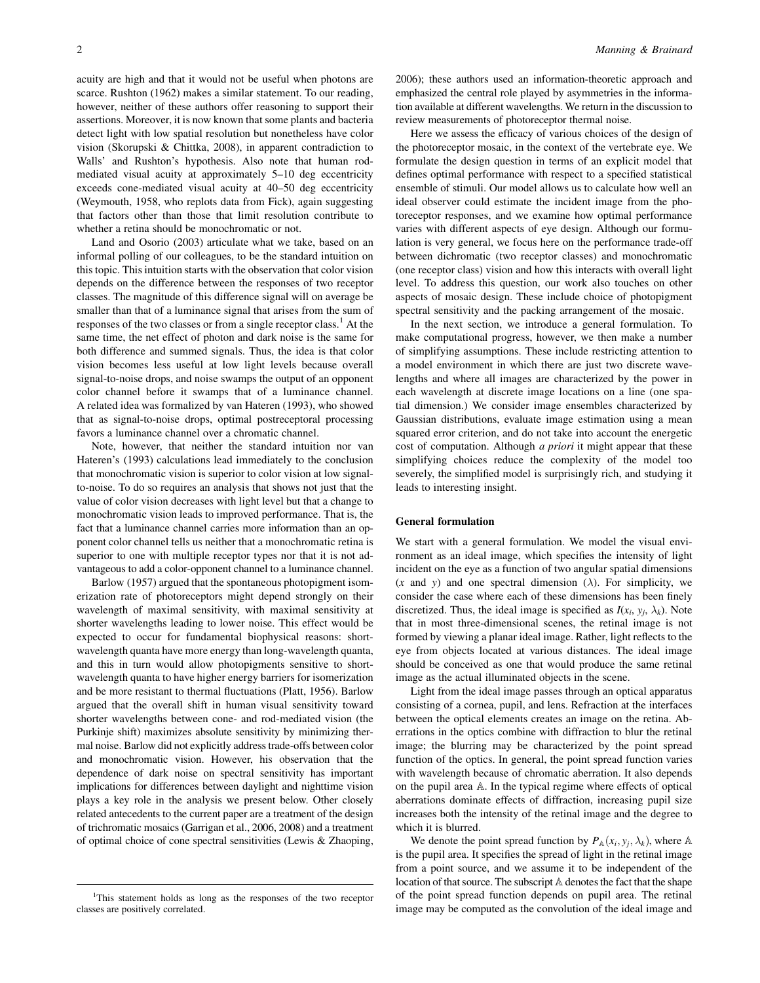acuity are high and that it would not be useful when photons are scarce. Rushton (1962) makes a similar statement. To our reading, however, neither of these authors offer reasoning to support their assertions. Moreover, it is now known that some plants and bacteria detect light with low spatial resolution but nonetheless have color vision (Skorupski & Chittka, 2008), in apparent contradiction to Walls' and Rushton's hypothesis. Also note that human rodmediated visual acuity at approximately 5–10 deg eccentricity exceeds cone-mediated visual acuity at 40–50 deg eccentricity (Weymouth, 1958, who replots data from Fick), again suggesting that factors other than those that limit resolution contribute to whether a retina should be monochromatic or not.

Land and Osorio (2003) articulate what we take, based on an informal polling of our colleagues, to be the standard intuition on this topic. This intuition starts with the observation that color vision depends on the difference between the responses of two receptor classes. The magnitude of this difference signal will on average be smaller than that of a luminance signal that arises from the sum of responses of the two classes or from a single receptor class.<sup>1</sup> At the same time, the net effect of photon and dark noise is the same for both difference and summed signals. Thus, the idea is that color vision becomes less useful at low light levels because overall signal-to-noise drops, and noise swamps the output of an opponent color channel before it swamps that of a luminance channel. A related idea was formalized by van Hateren (1993), who showed that as signal-to-noise drops, optimal postreceptoral processing favors a luminance channel over a chromatic channel.

Note, however, that neither the standard intuition nor van Hateren's (1993) calculations lead immediately to the conclusion that monochromatic vision is superior to color vision at low signalto-noise. To do so requires an analysis that shows not just that the value of color vision decreases with light level but that a change to monochromatic vision leads to improved performance. That is, the fact that a luminance channel carries more information than an opponent color channel tells us neither that a monochromatic retina is superior to one with multiple receptor types nor that it is not advantageous to add a color-opponent channel to a luminance channel.

Barlow (1957) argued that the spontaneous photopigment isomerization rate of photoreceptors might depend strongly on their wavelength of maximal sensitivity, with maximal sensitivity at shorter wavelengths leading to lower noise. This effect would be expected to occur for fundamental biophysical reasons: shortwavelength quanta have more energy than long-wavelength quanta, and this in turn would allow photopigments sensitive to shortwavelength quanta to have higher energy barriers for isomerization and be more resistant to thermal fluctuations (Platt, 1956). Barlow argued that the overall shift in human visual sensitivity toward shorter wavelengths between cone- and rod-mediated vision (the Purkinje shift) maximizes absolute sensitivity by minimizing thermal noise. Barlow did not explicitly address trade-offs between color and monochromatic vision. However, his observation that the dependence of dark noise on spectral sensitivity has important implications for differences between daylight and nighttime vision plays a key role in the analysis we present below. Other closely related antecedents to the current paper are a treatment of the design of trichromatic mosaics (Garrigan et al., 2006, 2008) and a treatment of optimal choice of cone spectral sensitivities (Lewis & Zhaoping,

2006); these authors used an information-theoretic approach and emphasized the central role played by asymmetries in the information available at different wavelengths. We return in the discussion to review measurements of photoreceptor thermal noise.

Here we assess the efficacy of various choices of the design of the photoreceptor mosaic, in the context of the vertebrate eye. We formulate the design question in terms of an explicit model that defines optimal performance with respect to a specified statistical ensemble of stimuli. Our model allows us to calculate how well an ideal observer could estimate the incident image from the photoreceptor responses, and we examine how optimal performance varies with different aspects of eye design. Although our formulation is very general, we focus here on the performance trade-off between dichromatic (two receptor classes) and monochromatic (one receptor class) vision and how this interacts with overall light level. To address this question, our work also touches on other aspects of mosaic design. These include choice of photopigment spectral sensitivity and the packing arrangement of the mosaic.

In the next section, we introduce a general formulation. To make computational progress, however, we then make a number of simplifying assumptions. These include restricting attention to a model environment in which there are just two discrete wavelengths and where all images are characterized by the power in each wavelength at discrete image locations on a line (one spatial dimension.) We consider image ensembles characterized by Gaussian distributions, evaluate image estimation using a mean squared error criterion, and do not take into account the energetic cost of computation. Although a priori it might appear that these simplifying choices reduce the complexity of the model too severely, the simplified model is surprisingly rich, and studying it leads to interesting insight.

## General formulation

We start with a general formulation. We model the visual environment as an ideal image, which specifies the intensity of light incident on the eye as a function of two angular spatial dimensions  $(x \text{ and } y)$  and one spectral dimension  $(\lambda)$ . For simplicity, we consider the case where each of these dimensions has been finely discretized. Thus, the ideal image is specified as  $I(x_i, y_j, \lambda_k)$ . Note that in most three-dimensional scenes, the retinal image is not formed by viewing a planar ideal image. Rather, light reflects to the eye from objects located at various distances. The ideal image should be conceived as one that would produce the same retinal image as the actual illuminated objects in the scene.

Light from the ideal image passes through an optical apparatus consisting of a cornea, pupil, and lens. Refraction at the interfaces between the optical elements creates an image on the retina. Aberrations in the optics combine with diffraction to blur the retinal image; the blurring may be characterized by the point spread function of the optics. In general, the point spread function varies with wavelength because of chromatic aberration. It also depends on the pupil area A. In the typical regime where effects of optical aberrations dominate effects of diffraction, increasing pupil size increases both the intensity of the retinal image and the degree to which it is blurred.

We denote the point spread function by  $P_{\mathbb{A}}(x_i, y_j, \lambda_k)$ , where  $\mathbb{A}$ is the pupil area. It specifies the spread of light in the retinal image from a point source, and we assume it to be independent of the location of that source. The subscript A denotes the fact that the shape of the point spread function depends on pupil area. The retinal image may be computed as the convolution of the ideal image and

<sup>&</sup>lt;sup>1</sup>This statement holds as long as the responses of the two receptor classes are positively correlated.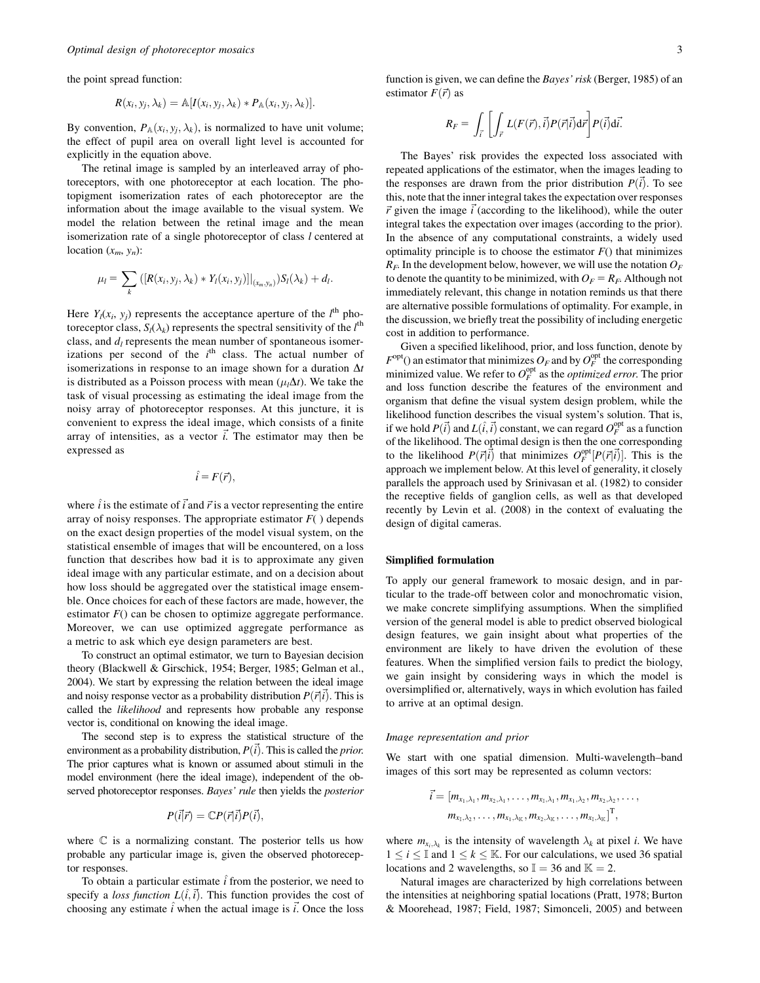the point spread function:

$$
R(x_i, y_j, \lambda_k) = \mathbb{A}[I(x_i, y_j, \lambda_k) * P_{\mathbb{A}}(x_i, y_j, \lambda_k)].
$$

By convention,  $P_{\mathbb{A}}(x_i, y_j, \lambda_k)$ , is normalized to have unit volume; the effect of pupil area on overall light level is accounted for explicitly in the equation above.

The retinal image is sampled by an interleaved array of photoreceptors, with one photoreceptor at each location. The photopigment isomerization rates of each photoreceptor are the information about the image available to the visual system. We model the relation between the retinal image and the mean isomerization rate of a single photoreceptor of class l centered at location  $(x_m, y_n)$ :

$$
\mu_l = \sum_k \left( [R(x_i, y_j, \lambda_k) * Y_l(x_i, y_j)] |_{(x_m, y_n)} \right) S_l(\lambda_k) + d_l.
$$

Here  $Y_l(x_i, y_j)$  represents the acceptance aperture of the  $l^{\text{th}}$  photoreceptor class,  $S_l(\lambda_k)$  represents the spectral sensitivity of the  $l^{\text{th}}$ class, and  $d_l$  represents the mean number of spontaneous isomerizations per second of the  $i<sup>th</sup>$  class. The actual number of isomerizations in response to an image shown for a duration  $\Delta t$ is distributed as a Poisson process with mean  $(\mu_1 \Delta t)$ . We take the task of visual processing as estimating the ideal image from the noisy array of photoreceptor responses. At this juncture, it is convenient to express the ideal image, which consists of a finite array of intensities, as a vector  $\vec{i}$ . The estimator may then be expressed as

$$
\hat{i} = F(\vec{r}),
$$

where  $\hat{i}$  is the estimate of  $\vec{i}$  and  $\vec{r}$  is a vector representing the entire array of noisy responses. The appropriate estimator  $F()$  depends on the exact design properties of the model visual system, on the statistical ensemble of images that will be encountered, on a loss function that describes how bad it is to approximate any given ideal image with any particular estimate, and on a decision about how loss should be aggregated over the statistical image ensemble. Once choices for each of these factors are made, however, the estimator  $F()$  can be chosen to optimize aggregate performance. Moreover, we can use optimized aggregate performance as a metric to ask which eye design parameters are best.

To construct an optimal estimator, we turn to Bayesian decision theory (Blackwell & Girschick, 1954; Berger, 1985; Gelman et al., 2004). We start by expressing the relation between the ideal image and noisy response vector as a probability distribution  $P(\vec{r}|\vec{i})$ . This is called the likelihood and represents how probable any response vector is, conditional on knowing the ideal image.

The second step is to express the statistical structure of the environment as a probability distribution,  $P(\vec{i})$ . This is called the *prior*. The prior captures what is known or assumed about stimuli in the model environment (here the ideal image), independent of the observed photoreceptor responses. Bayes' rule then yields the posterior

$$
P(\vec{i}|\vec{r}) = \mathbb{C}P(\vec{r}|\vec{i})P(\vec{i}),
$$

where  $\mathbb C$  is a normalizing constant. The posterior tells us how probable any particular image is, given the observed photoreceptor responses.

To obtain a particular estimate  $\hat{i}$  from the posterior, we need to specify a loss function  $L(i, i)$ . This function provides the cost of choosing any estimate  $\hat{i}$  when the actual image is  $\vec{i}$ . Once the loss function is given, we can define the Bayes' risk (Berger, 1985) of an estimator  $F(\vec{r})$  as

$$
R_F = \int_{\vec{i}} \left[ \int_{\vec{r}} L(F(\vec{r}), \vec{i}) P(\vec{r} | \vec{i}) d\vec{r} \right] P(\vec{i}) d\vec{i}.
$$

The Bayes' risk provides the expected loss associated with repeated applications of the estimator, when the images leading to the responses are drawn from the prior distribution  $P(\vec{i})$ . To see this, note that the inner integral takes the expectation over responses  $\vec{r}$  given the image  $\vec{i}$  (according to the likelihood), while the outer integral takes the expectation over images (according to the prior). In the absence of any computational constraints, a widely used optimality principle is to choose the estimator  $F()$  that minimizes  $R_F$ . In the development below, however, we will use the notation  $O_F$ to denote the quantity to be minimized, with  $O_F = R_F$ . Although not immediately relevant, this change in notation reminds us that there are alternative possible formulations of optimality. For example, in the discussion, we briefly treat the possibility of including energetic cost in addition to performance.

Given a specified likelihood, prior, and loss function, denote by  $F^{\text{opt}}$ () an estimator that minimizes  $O_F$  and by  $O_F^{\text{opt}}$  the corresponding minimized value. We refer to  $O_F^{\text{opt}}$  as the *optimized error*. The prior and loss function describe the features of the environment and organism that define the visual system design problem, while the likelihood function describes the visual system's solution. That is, if we hold  $P(\vec{i})$  and  $L(\hat{i}, \vec{i})$  constant, we can regard  $O_F^{\text{opt}}$  as a function of the likelihood. The optimal design is then the one corresponding to the likelihood  $P(\vec{r}|\vec{i})$  that minimizes  $O_F^{\text{opt}}[P(\vec{r}|\vec{i})]$ . This is the approach we implement below. At this level of generality, it closely parallels the approach used by Srinivasan et al. (1982) to consider the receptive fields of ganglion cells, as well as that developed recently by Levin et al. (2008) in the context of evaluating the design of digital cameras.

## Simplified formulation

To apply our general framework to mosaic design, and in particular to the trade-off between color and monochromatic vision, we make concrete simplifying assumptions. When the simplified version of the general model is able to predict observed biological design features, we gain insight about what properties of the environment are likely to have driven the evolution of these features. When the simplified version fails to predict the biology, we gain insight by considering ways in which the model is oversimplified or, alternatively, ways in which evolution has failed to arrive at an optimal design.

### Image representation and prior

We start with one spatial dimension. Multi-wavelength–band images of this sort may be represented as column vectors:

$$
\vec{i} = [m_{x_1,\lambda_1}, m_{x_2,\lambda_1}, \ldots, m_{x_1,\lambda_1}, m_{x_1,\lambda_2}, m_{x_2,\lambda_2}, \ldots, m_{x_1,\lambda_2}, \ldots, m_{x_1,\lambda_K}, m_{x_2,\lambda_K}, \ldots, m_{x_1,\lambda_K}]^T,
$$

where  $m_{x_i, \lambda_k}$  is the intensity of wavelength  $\lambda_k$  at pixel *i*. We have  $1 \le i \le \mathbb{I}$  and  $1 \le k \le \mathbb{K}$ . For our calculations, we used 36 spatial locations and 2 wavelengths, so  $\mathbb{I} = 36$  and  $\mathbb{K} = 2$ .

Natural images are characterized by high correlations between the intensities at neighboring spatial locations (Pratt, 1978; Burton & Moorehead, 1987; Field, 1987; Simonceli, 2005) and between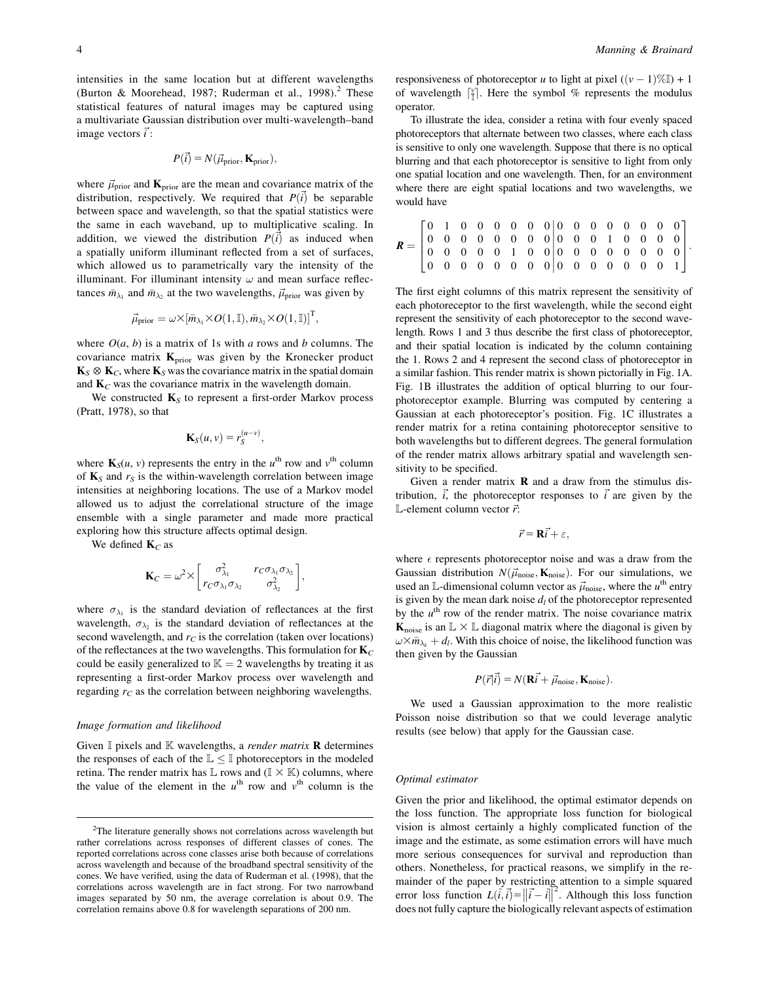intensities in the same location but at different wavelengths (Burton & Moorehead, 1987; Ruderman et al., 1998).<sup>2</sup> These statistical features of natural images may be captured using a multivariate Gaussian distribution over multi-wavelength–band image vectors  $\vec{i}$ :

$$
P(\vec{i}) = N(\vec{\mu}_{prior}, \mathbf{K}_{prior}),
$$

where  $\vec{\mu}_{prior}$  and  $\mathbf{K}_{prior}$  are the mean and covariance matrix of the distribution, respectively. We required that  $P(\vec{i})$  be separable between space and wavelength, so that the spatial statistics were the same in each waveband, up to multiplicative scaling. In addition, we viewed the distribution  $P(\vec{i})$  as induced when a spatially uniform illuminant reflected from a set of surfaces, which allowed us to parametrically vary the intensity of the illuminant. For illuminant intensity  $\omega$  and mean surface reflectances  $\bar{m}_{\lambda_1}$  and  $\bar{m}_{\lambda_2}$  at the two wavelengths,  $\vec{\mu}_{prior}$  was given by

$$
\vec{\mu}_{\text{prior}} = \omega \times [\bar{m}_{\lambda_1} \times O(1, \mathbb{I}), \bar{m}_{\lambda_2} \times O(1, \mathbb{I})]^{\text{T}},
$$

where  $O(a, b)$  is a matrix of 1s with a rows and b columns. The covariance matrix  $\mathbf{K}_{prior}$  was given by the Kronecker product  $\mathbf{K}_{S} \otimes \mathbf{K}_{C}$ , where  $\mathbf{K}_{S}$  was the covariance matrix in the spatial domain and  $\mathbf{K}_C$  was the covariance matrix in the wavelength domain.

We constructed  $\mathbf{K}_{S}$  to represent a first-order Markov process (Pratt, 1978), so that

$$
\mathbf{K}_S(u,v)=r_S^{(u-v)},
$$

where  $\mathbf{K}_{S}(u, v)$  represents the entry in the  $u^{\text{th}}$  row and  $v^{\text{th}}$  column of  $\mathbf{K}_S$  and  $r_S$  is the within-wavelength correlation between image intensities at neighboring locations. The use of a Markov model allowed us to adjust the correlational structure of the image ensemble with a single parameter and made more practical exploring how this structure affects optimal design.

We defined  $K_C$  as

$$
\mathbf{K}_C = \omega^2 \times \begin{bmatrix} \sigma_{\lambda_1}^2 & r_C \sigma_{\lambda_1} \sigma_{\lambda_2} \\ r_C \sigma_{\lambda_1} \sigma_{\lambda_2} & \sigma_{\lambda_2}^2 \end{bmatrix},
$$

where  $\sigma_{\lambda_1}$  is the standard deviation of reflectances at the first wavelength,  $\sigma_{\lambda_2}$  is the standard deviation of reflectances at the second wavelength, and  $r<sub>C</sub>$  is the correlation (taken over locations) of the reflectances at the two wavelengths. This formulation for  $\mathbf{K}_C$ could be easily generalized to  $\mathbb{K} = 2$  wavelengths by treating it as representing a first-order Markov process over wavelength and regarding  $r<sub>C</sub>$  as the correlation between neighboring wavelengths.

#### Image formation and likelihood

Given  $\mathbb I$  pixels and  $\mathbb K$  wavelengths, a *render matrix* **R** determines the responses of each of the  $\mathbb{L} \leq \mathbb{I}$  photoreceptors in the modeled retina. The render matrix has  $\mathbb L$  rows and  $(\mathbb I \times \mathbb K)$  columns, where the value of the element in the  $u<sup>th</sup>$  row and  $v<sup>th</sup>$  column is the

responsiveness of photoreceptor u to light at pixel  $((v - 1)\%)$  + 1 of wavelength  $\left[\frac{v}{\|}\right]$ . Here the symbol % represents the modulus operator.

To illustrate the idea, consider a retina with four evenly spaced photoreceptors that alternate between two classes, where each class is sensitive to only one wavelength. Suppose that there is no optical blurring and that each photoreceptor is sensitive to light from only one spatial location and one wavelength. Then, for an environment where there are eight spatial locations and two wavelengths, we would have

The first eight columns of this matrix represent the sensitivity of each photoreceptor to the first wavelength, while the second eight represent the sensitivity of each photoreceptor to the second wavelength. Rows 1 and 3 thus describe the first class of photoreceptor, and their spatial location is indicated by the column containing the 1. Rows 2 and 4 represent the second class of photoreceptor in a similar fashion. This render matrix is shown pictorially in Fig. 1A. Fig. 1B illustrates the addition of optical blurring to our fourphotoreceptor example. Blurring was computed by centering a Gaussian at each photoreceptor's position. Fig. 1C illustrates a render matrix for a retina containing photoreceptor sensitive to both wavelengths but to different degrees. The general formulation of the render matrix allows arbitrary spatial and wavelength sensitivity to be specified.

Given a render matrix  $\bf{R}$  and a draw from the stimulus distribution,  $\vec{i}$ , the photoreceptor responses to  $\vec{i}$  are given by the L-element column vector  $\vec{r}$ :

$$
\vec{r} = \mathbf{R}\vec{i} + \varepsilon,
$$

where  $\epsilon$  represents photoreceptor noise and was a draw from the Gaussian distribution  $N(\vec{\mu}_{noise}, \mathbf{K}_{noise})$ . For our simulations, we used an L-dimensional column vector as  $\vec{\mu}_{noise}$ , where the  $u^{\text{th}}$  entry is given by the mean dark noise  $d_l$  of the photoreceptor represented by the  $u<sup>th</sup>$  row of the render matrix. The noise covariance matrix  $\mathbf{K}_{\text{noise}}$  is an  $\mathbb{L} \times \mathbb{L}$  diagonal matrix where the diagonal is given by  $\omega \times \bar{m}_{\lambda_k} + d_l$ . With this choice of noise, the likelihood function was then given by the Gaussian

$$
P(\vec{r}|\vec{i}) = N(\mathbf{R}\vec{i} + \vec{\mu}_{\text{noise}}, \mathbf{K}_{\text{noise}}).
$$

We used a Gaussian approximation to the more realistic Poisson noise distribution so that we could leverage analytic results (see below) that apply for the Gaussian case.

## Optimal estimator

Given the prior and likelihood, the optimal estimator depends on the loss function. The appropriate loss function for biological vision is almost certainly a highly complicated function of the image and the estimate, as some estimation errors will have much more serious consequences for survival and reproduction than others. Nonetheless, for practical reasons, we simplify in the remainder of the paper by restricting attention to a simple squared mander of the paper by restricting attention to a simple squared<br>error loss function  $L(\hat{i}, \vec{i}) = ||\vec{i} - \hat{i}||^2$ . Although this loss function does not fully capture the biologically relevant aspects of estimation

 $2$ The literature generally shows not correlations across wavelength but rather correlations across responses of different classes of cones. The reported correlations across cone classes arise both because of correlations across wavelength and because of the broadband spectral sensitivity of the cones. We have verified, using the data of Ruderman et al. (1998), that the correlations across wavelength are in fact strong. For two narrowband images separated by 50 nm, the average correlation is about 0.9. The correlation remains above 0.8 for wavelength separations of 200 nm.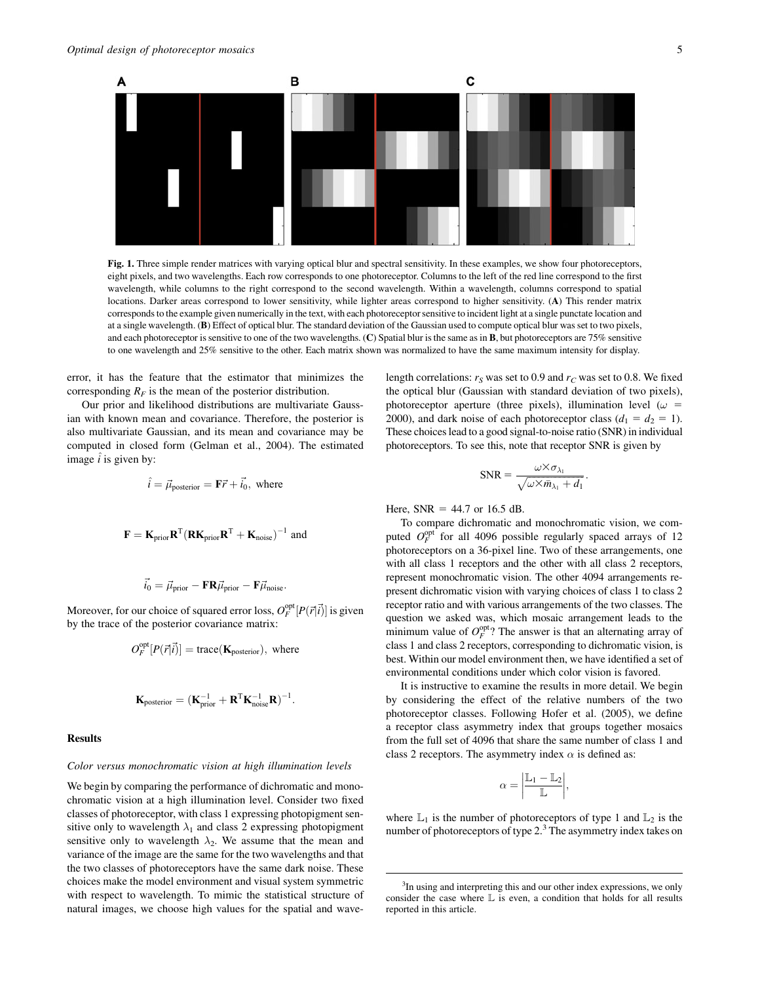

Fig. 1. Three simple render matrices with varying optical blur and spectral sensitivity. In these examples, we show four photoreceptors, eight pixels, and two wavelengths. Each row corresponds to one photoreceptor. Columns to the left of the red line correspond to the first wavelength, while columns to the right correspond to the second wavelength. Within a wavelength, columns correspond to spatial locations. Darker areas correspond to lower sensitivity, while lighter areas correspond to higher sensitivity. (A) This render matrix corresponds to the example given numerically in the text, with each photoreceptor sensitive to incident light at a single punctate location and at a single wavelength. (B) Effect of optical blur. The standard deviation of the Gaussian used to compute optical blur was set to two pixels, and each photoreceptor is sensitive to one of the two wavelengths. (C) Spatial blur is the same as in B, but photoreceptors are 75% sensitive to one wavelength and 25% sensitive to the other. Each matrix shown was normalized to have the same maximum intensity for display.

error, it has the feature that the estimator that minimizes the corresponding  $R_F$  is the mean of the posterior distribution.

Our prior and likelihood distributions are multivariate Gaussian with known mean and covariance. Therefore, the posterior is also multivariate Gaussian, and its mean and covariance may be computed in closed form (Gelman et al., 2004). The estimated image  $\hat{i}$  is given by:

$$
\hat{i} = \vec{\mu}_{\text{posterior}} = \mathbf{F}\vec{r} + \vec{i}_0
$$
, where

$$
\mathbf{F} = \mathbf{K}_{prior} \mathbf{R}^{T} (\mathbf{R} \mathbf{K}_{prior} \mathbf{R}^{T} + \mathbf{K}_{noise})^{-1}
$$
 and

$$
\vec{i_0} = \vec{\mu}_{prior} - \mathbf{F} \mathbf{R} \vec{\mu}_{prior} - \mathbf{F} \vec{\mu}_{noise}.
$$

Moreover, for our choice of squared error loss,  $O_F^{\text{opt}}[P(\vec{r}|\vec{i})]$  is given by the trace of the posterior covariance matrix:

$$
O_F^{\text{opt}}[P(\vec{r}|\vec{i})] = \text{trace}(\mathbf{K}_{\text{posterior}}), \text{ where}
$$

$$
\mathbf{K}_{\text{posterior}} = (\mathbf{K}_{\text{prior}}^{-1} + \mathbf{R}^{\text{T}} \mathbf{K}_{\text{noise}}^{-1} \mathbf{R})^{-1}.
$$

## Results

#### Color versus monochromatic vision at high illumination levels

We begin by comparing the performance of dichromatic and monochromatic vision at a high illumination level. Consider two fixed classes of photoreceptor, with class 1 expressing photopigment sensitive only to wavelength  $\lambda_1$  and class 2 expressing photopigment sensitive only to wavelength  $\lambda_2$ . We assume that the mean and variance of the image are the same for the two wavelengths and that the two classes of photoreceptors have the same dark noise. These choices make the model environment and visual system symmetric with respect to wavelength. To mimic the statistical structure of natural images, we choose high values for the spatial and wavelength correlations:  $r<sub>S</sub>$  was set to 0.9 and  $r<sub>C</sub>$  was set to 0.8. We fixed the optical blur (Gaussian with standard deviation of two pixels), photoreceptor aperture (three pixels), illumination level ( $\omega$  = 2000), and dark noise of each photoreceptor class  $(d_1 = d_2 = 1)$ . These choices lead to a good signal-to-noise ratio (SNR) in individual photoreceptors. To see this, note that receptor SNR is given by

$$
SNR = \frac{\omega \times \sigma_{\lambda_1}}{\sqrt{\omega \times \bar{m}_{\lambda_1} + d_1}}.
$$

Here,  $SNR = 44.7$  or 16.5 dB.

To compare dichromatic and monochromatic vision, we computed  $O_F^{\text{opt}}$  for all 4096 possible regularly spaced arrays of 12 photoreceptors on a 36-pixel line. Two of these arrangements, one with all class 1 receptors and the other with all class 2 receptors, represent monochromatic vision. The other 4094 arrangements represent dichromatic vision with varying choices of class 1 to class 2 receptor ratio and with various arrangements of the two classes. The question we asked was, which mosaic arrangement leads to the minimum value of  $O_F^{\text{opt}}$ ? The answer is that an alternating array of class 1 and class 2 receptors, corresponding to dichromatic vision, is best. Within our model environment then, we have identified a set of environmental conditions under which color vision is favored.

It is instructive to examine the results in more detail. We begin by considering the effect of the relative numbers of the two photoreceptor classes. Following Hofer et al. (2005), we define a receptor class asymmetry index that groups together mosaics from the full set of 4096 that share the same number of class 1 and class 2 receptors. The asymmetry index  $\alpha$  is defined as:

$$
\alpha = \left| \frac{\mathbb{L}_1 - \mathbb{L}_2}{\mathbb{L}} \right|
$$

;

where  $\mathbb{L}_1$  is the number of photoreceptors of type 1 and  $\mathbb{L}_2$  is the number of photoreceptors of type  $2<sup>3</sup>$ . The asymmetry index takes on

<sup>&</sup>lt;sup>3</sup>In using and interpreting this and our other index expressions, we only consider the case where  $\mathbb L$  is even, a condition that holds for all results reported in this article.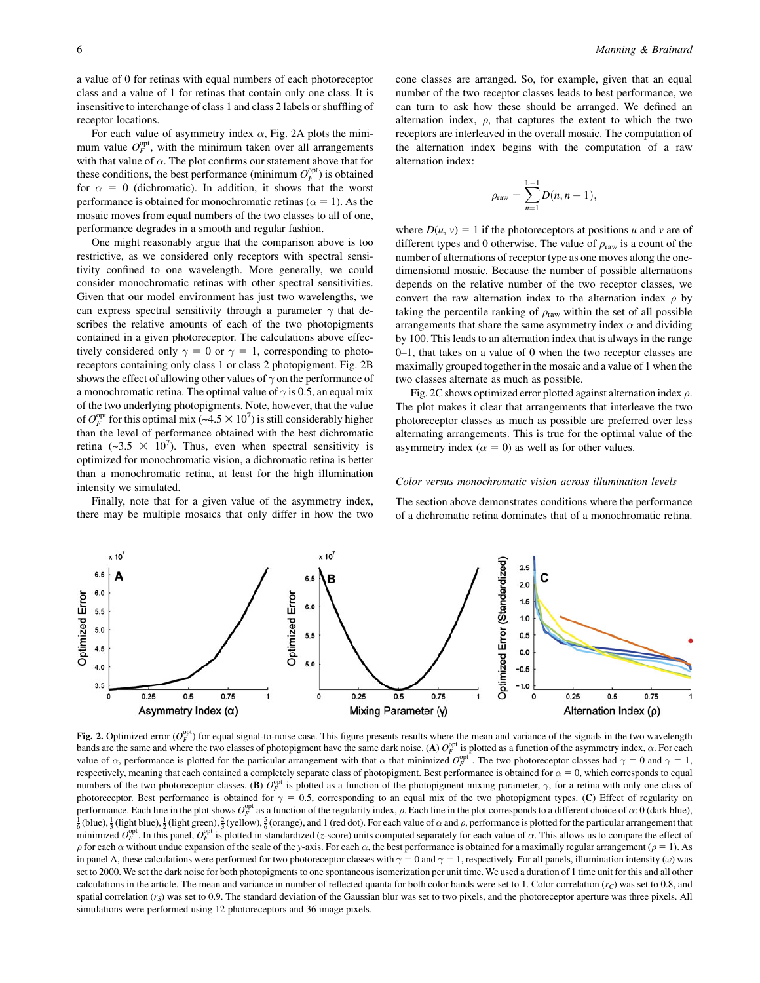a value of 0 for retinas with equal numbers of each photoreceptor class and a value of 1 for retinas that contain only one class. It is insensitive to interchange of class 1 and class 2 labels or shuffling of receptor locations.

For each value of asymmetry index  $\alpha$ , Fig. 2A plots the minimum value  $O_F^{\text{opt}}$ , with the minimum taken over all arrangements with that value of  $\alpha$ . The plot confirms our statement above that for these conditions, the best performance (minimum  $O_F^{\text{opt}}$ ) is obtained for  $\alpha = 0$  (dichromatic). In addition, it shows that the worst performance is obtained for monochromatic retinas ( $\alpha = 1$ ). As the mosaic moves from equal numbers of the two classes to all of one, performance degrades in a smooth and regular fashion.

One might reasonably argue that the comparison above is too restrictive, as we considered only receptors with spectral sensitivity confined to one wavelength. More generally, we could consider monochromatic retinas with other spectral sensitivities. Given that our model environment has just two wavelengths, we can express spectral sensitivity through a parameter  $\gamma$  that describes the relative amounts of each of the two photopigments contained in a given photoreceptor. The calculations above effectively considered only  $\gamma = 0$  or  $\gamma = 1$ , corresponding to photoreceptors containing only class 1 or class 2 photopigment. Fig. 2B shows the effect of allowing other values of  $\gamma$  on the performance of a monochromatic retina. The optimal value of  $\gamma$  is 0.5, an equal mix of the two underlying photopigments. Note, however, that the value of  $O_F^{\text{opt}}$  for this optimal mix (~4.5  $\times$  10<sup>7</sup>) is still considerably higher than the level of performance obtained with the best dichromatic retina (~3.5  $\times$  10<sup>7</sup>). Thus, even when spectral sensitivity is optimized for monochromatic vision, a dichromatic retina is better than a monochromatic retina, at least for the high illumination intensity we simulated.

Finally, note that for a given value of the asymmetry index, there may be multiple mosaics that only differ in how the two cone classes are arranged. So, for example, given that an equal number of the two receptor classes leads to best performance, we can turn to ask how these should be arranged. We defined an alternation index,  $\rho$ , that captures the extent to which the two receptors are interleaved in the overall mosaic. The computation of the alternation index begins with the computation of a raw alternation index:

$$
\rho_{\text{raw}} = \sum_{n=1}^{\mathbb{L}-1} D(n, n+1),
$$

where  $D(u, v) = 1$  if the photoreceptors at positions u and v are of different types and 0 otherwise. The value of  $\rho_{\text{raw}}$  is a count of the number of alternations of receptor type as one moves along the onedimensional mosaic. Because the number of possible alternations depends on the relative number of the two receptor classes, we convert the raw alternation index to the alternation index  $\rho$  by taking the percentile ranking of  $\rho_{\text{raw}}$  within the set of all possible arrangements that share the same asymmetry index  $\alpha$  and dividing by 100. This leads to an alternation index that is always in the range 0–1, that takes on a value of 0 when the two receptor classes are maximally grouped together in the mosaic and a value of 1 when the two classes alternate as much as possible.

Fig. 2C shows optimized error plotted against alternation index  $\rho$ . The plot makes it clear that arrangements that interleave the two photoreceptor classes as much as possible are preferred over less alternating arrangements. This is true for the optimal value of the asymmetry index ( $\alpha = 0$ ) as well as for other values.

#### Color versus monochromatic vision across illumination levels

The section above demonstrates conditions where the performance of a dichromatic retina dominates that of a monochromatic retina.



Fig. 2. Optimized error  $(O_F^{\text{opt}})$  for equal signal-to-noise case. This figure presents results where the mean and variance of the signals in the two wavelength bands are the same and where the two classes of photopigment have the same dark noise. (A)  $O_F^{\text{opt}}$  is plotted as a function of the asymmetry index,  $\alpha$ . For each value of  $\alpha$ , performance is plotted for the particular arrangement with that  $\alpha$  that minimized  $O_F^{\text{opt}}$ . The two photoreceptor classes had  $\gamma = 0$  and  $\gamma = 1$ , respectively, meaning that each contained a completely separate class of photopigment. Best performance is obtained for  $\alpha = 0$ , which corresponds to equal numbers of the two photoreceptor classes. (B)  $\overline{O_F^{\text{opt}}}$  is plotted as a function of the photopigment mixing parameter,  $\gamma$ , for a retina with only one class of photoreceptor. Best performance is obtained for  $\gamma = 0.5$ , corresponding to an equal mix of the two photopigment types. (C) Effect of regularity on performance. Each line in the plot shows  $O_F^{\text{opt}}$  as a function of the regularity index,  $\rho$ . Each line in the plot corresponds to a different choice of  $\alpha$ : 0 (dark blue),  $\frac{1}{2}$  (light blue),  $\frac{1}{2}$  (light org  $\frac{1}{6}$  (blue),  $\frac{1}{3}$  (light blue),  $\frac{1}{2}$  (light green),  $\frac{2}{3}$  (yellow),  $\frac{5}{6}$  (orange), and 1 (red dot). For each value of  $\alpha$  and  $\rho$ , performance is plotted for the particular arrangement that minimized  $O_F^{\text{opt}}$ . In this panel,  $O_F^{\text{opt}}$  is plotted in standardized (z-score) units computed separately for each value of  $\alpha$ . This allows us to compare the effect of  $\rho$  for each  $\alpha$  without undue expansion of the scale of the y-axis. For each  $\alpha$ , the best performance is obtained for a maximally regular arrangement ( $\rho = 1$ ). As in panel A, these calculations were performed for two photoreceptor classes with  $\gamma = 0$  and  $\gamma = 1$ , respectively. For all panels, illumination intensity ( $\omega$ ) was set to 2000. We set the dark noise for both photopigments to one spontaneous isomerization per unit time. We used a duration of 1 time unit for this and all other calculations in the article. The mean and variance in number of reflected quanta for both color bands were set to 1. Color correlation  $(r_C)$  was set to 0.8, and spatial correlation  $(r<sub>S</sub>)$  was set to 0.9. The standard deviation of the Gaussian blur was set to two pixels, and the photoreceptor aperture was three pixels. All simulations were performed using 12 photoreceptors and 36 image pixels.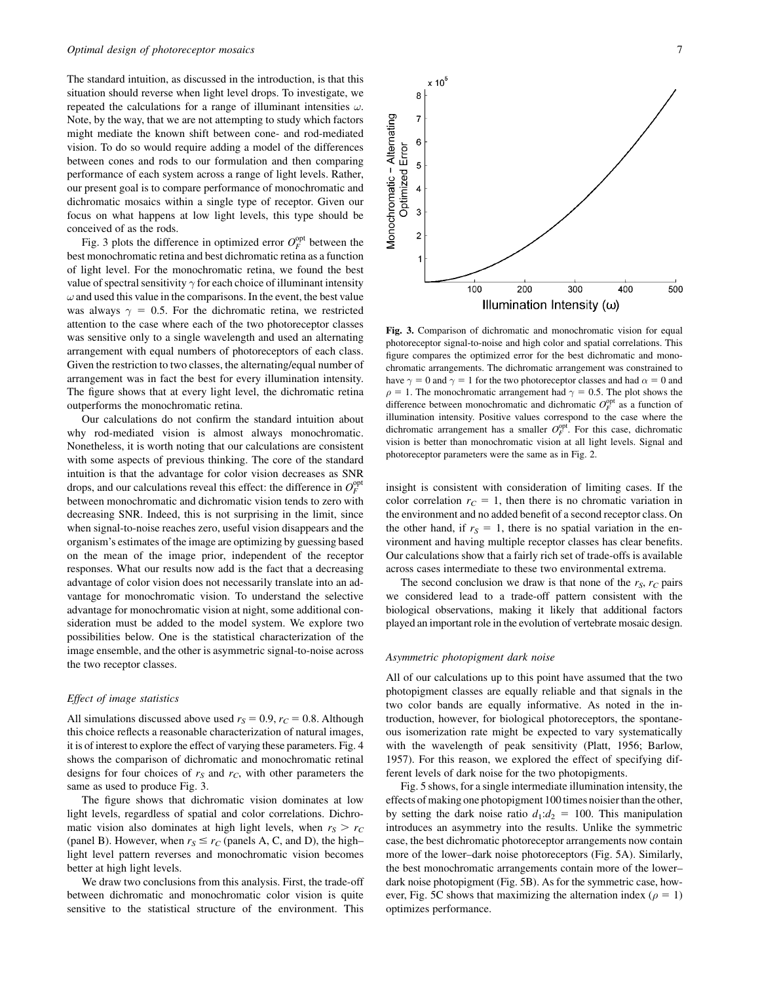The standard intuition, as discussed in the introduction, is that this situation should reverse when light level drops. To investigate, we repeated the calculations for a range of illuminant intensities  $\omega$ . Note, by the way, that we are not attempting to study which factors might mediate the known shift between cone- and rod-mediated vision. To do so would require adding a model of the differences between cones and rods to our formulation and then comparing performance of each system across a range of light levels. Rather, our present goal is to compare performance of monochromatic and dichromatic mosaics within a single type of receptor. Given our focus on what happens at low light levels, this type should be conceived of as the rods.

Fig. 3 plots the difference in optimized error  $O_F^{\text{opt}}$  between the best monochromatic retina and best dichromatic retina as a function of light level. For the monochromatic retina, we found the best value of spectral sensitivity  $\gamma$  for each choice of illuminant intensity  $\omega$  and used this value in the comparisons. In the event, the best value was always  $\gamma = 0.5$ . For the dichromatic retina, we restricted attention to the case where each of the two photoreceptor classes was sensitive only to a single wavelength and used an alternating arrangement with equal numbers of photoreceptors of each class. Given the restriction to two classes, the alternating/equal number of arrangement was in fact the best for every illumination intensity. The figure shows that at every light level, the dichromatic retina outperforms the monochromatic retina.

Our calculations do not confirm the standard intuition about why rod-mediated vision is almost always monochromatic. Nonetheless, it is worth noting that our calculations are consistent with some aspects of previous thinking. The core of the standard intuition is that the advantage for color vision decreases as SNR drops, and our calculations reveal this effect: the difference in  $O_F^{\text{opt}}$ between monochromatic and dichromatic vision tends to zero with decreasing SNR. Indeed, this is not surprising in the limit, since when signal-to-noise reaches zero, useful vision disappears and the organism's estimates of the image are optimizing by guessing based on the mean of the image prior, independent of the receptor responses. What our results now add is the fact that a decreasing advantage of color vision does not necessarily translate into an advantage for monochromatic vision. To understand the selective advantage for monochromatic vision at night, some additional consideration must be added to the model system. We explore two possibilities below. One is the statistical characterization of the image ensemble, and the other is asymmetric signal-to-noise across the two receptor classes.

## Effect of image statistics

All simulations discussed above used  $r_S = 0.9$ ,  $r_C = 0.8$ . Although this choice reflects a reasonable characterization of natural images, it is of interest to explore the effect of varying these parameters. Fig. 4 shows the comparison of dichromatic and monochromatic retinal designs for four choices of  $r<sub>S</sub>$  and  $r<sub>C</sub>$ , with other parameters the same as used to produce Fig. 3.

The figure shows that dichromatic vision dominates at low light levels, regardless of spatial and color correlations. Dichromatic vision also dominates at high light levels, when  $r_S > r_C$ (panel B). However, when  $r_S \le r_C$  (panels A, C, and D), the high– light level pattern reverses and monochromatic vision becomes better at high light levels.

We draw two conclusions from this analysis. First, the trade-off between dichromatic and monochromatic color vision is quite sensitive to the statistical structure of the environment. This



Fig. 3. Comparison of dichromatic and monochromatic vision for equal photoreceptor signal-to-noise and high color and spatial correlations. This figure compares the optimized error for the best dichromatic and monochromatic arrangements. The dichromatic arrangement was constrained to have  $\gamma = 0$  and  $\gamma = 1$  for the two photoreceptor classes and had  $\alpha = 0$  and  $\rho = 1$ . The monochromatic arrangement had  $\gamma = 0.5$ . The plot shows the difference between monochromatic and dichromatic  $O_F^{\text{opt}}$  as a function of illumination intensity. Positive values correspond to the case where the dichromatic arrangement has a smaller  $O_F^{\text{opt}}$ . For this case, dichromatic vision is better than monochromatic vision at all light levels. Signal and photoreceptor parameters were the same as in Fig. 2.

insight is consistent with consideration of limiting cases. If the color correlation  $r<sub>C</sub> = 1$ , then there is no chromatic variation in the environment and no added benefit of a second receptor class. On the other hand, if  $r<sub>S</sub> = 1$ , there is no spatial variation in the environment and having multiple receptor classes has clear benefits. Our calculations show that a fairly rich set of trade-offs is available across cases intermediate to these two environmental extrema.

The second conclusion we draw is that none of the  $r<sub>S</sub>$ ,  $r<sub>C</sub>$  pairs we considered lead to a trade-off pattern consistent with the biological observations, making it likely that additional factors played an important role in the evolution of vertebrate mosaic design.

#### Asymmetric photopigment dark noise

All of our calculations up to this point have assumed that the two photopigment classes are equally reliable and that signals in the two color bands are equally informative. As noted in the introduction, however, for biological photoreceptors, the spontaneous isomerization rate might be expected to vary systematically with the wavelength of peak sensitivity (Platt, 1956; Barlow, 1957). For this reason, we explored the effect of specifying different levels of dark noise for the two photopigments.

Fig. 5 shows, for a single intermediate illumination intensity, the effects of making one photopigment 100 times noisier than the other, by setting the dark noise ratio  $d_1:d_2 = 100$ . This manipulation introduces an asymmetry into the results. Unlike the symmetric case, the best dichromatic photoreceptor arrangements now contain more of the lower–dark noise photoreceptors (Fig. 5A). Similarly, the best monochromatic arrangements contain more of the lower– dark noise photopigment (Fig. 5B). As for the symmetric case, however, Fig. 5C shows that maximizing the alternation index ( $\rho = 1$ ) optimizes performance.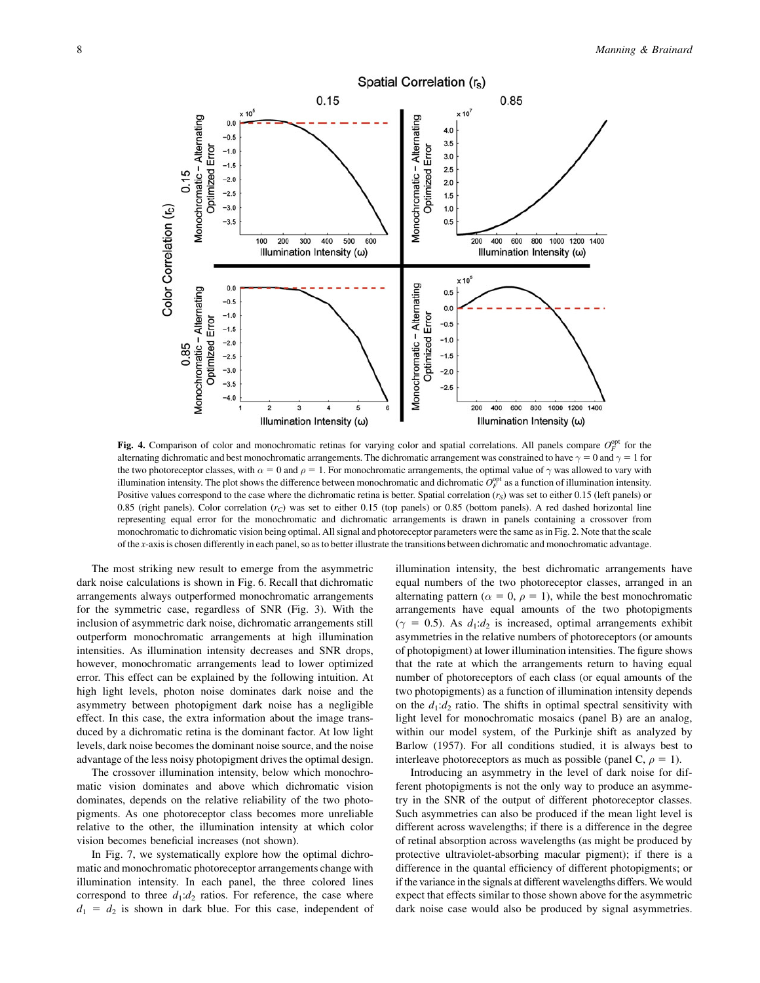

Fig. 4. Comparison of color and monochromatic retinas for varying color and spatial correlations. All panels compare  $O_F^{\text{opt}}$  for the alternating dichromatic and best monochromatic arrangements. The dichromatic arrangement was constrained to have  $\gamma = 0$  and  $\gamma = 1$  for the two photoreceptor classes, with  $\alpha = 0$  and  $\rho = 1$ . For monochromatic arrangements, the optimal value of  $\gamma$  was allowed to vary with illumination intensity. The plot shows the difference between monochromatic and dichromatic  $O_F^{\text{opt}}$  as a function of illumination intensity. Positive values correspond to the case where the dichromatic retina is better. Spatial correlation  $(r<sub>S</sub>)$  was set to either 0.15 (left panels) or 0.85 (right panels). Color correlation  $(r_C)$  was set to either 0.15 (top panels) or 0.85 (bottom panels). A red dashed horizontal line representing equal error for the monochromatic and dichromatic arrangements is drawn in panels containing a crossover from monochromatic to dichromatic vision being optimal. All signal and photoreceptor parameters were the same as in Fig. 2. Note that the scale of the x-axis is chosen differently in each panel, so as to better illustrate the transitions between dichromatic and monochromatic advantage.

The most striking new result to emerge from the asymmetric dark noise calculations is shown in Fig. 6. Recall that dichromatic arrangements always outperformed monochromatic arrangements for the symmetric case, regardless of SNR (Fig. 3). With the inclusion of asymmetric dark noise, dichromatic arrangements still outperform monochromatic arrangements at high illumination intensities. As illumination intensity decreases and SNR drops, however, monochromatic arrangements lead to lower optimized error. This effect can be explained by the following intuition. At high light levels, photon noise dominates dark noise and the asymmetry between photopigment dark noise has a negligible effect. In this case, the extra information about the image transduced by a dichromatic retina is the dominant factor. At low light levels, dark noise becomes the dominant noise source, and the noise advantage of the less noisy photopigment drives the optimal design.

The crossover illumination intensity, below which monochromatic vision dominates and above which dichromatic vision dominates, depends on the relative reliability of the two photopigments. As one photoreceptor class becomes more unreliable relative to the other, the illumination intensity at which color vision becomes beneficial increases (not shown).

In Fig. 7, we systematically explore how the optimal dichromatic and monochromatic photoreceptor arrangements change with illumination intensity. In each panel, the three colored lines correspond to three  $d_1:d_2$  ratios. For reference, the case where  $d_1 = d_2$  is shown in dark blue. For this case, independent of illumination intensity, the best dichromatic arrangements have equal numbers of the two photoreceptor classes, arranged in an alternating pattern ( $\alpha = 0$ ,  $\rho = 1$ ), while the best monochromatic arrangements have equal amounts of the two photopigments ( $\gamma = 0.5$ ). As  $d_1:d_2$  is increased, optimal arrangements exhibit asymmetries in the relative numbers of photoreceptors (or amounts of photopigment) at lower illumination intensities. The figure shows that the rate at which the arrangements return to having equal number of photoreceptors of each class (or equal amounts of the two photopigments) as a function of illumination intensity depends on the  $d_1:d_2$  ratio. The shifts in optimal spectral sensitivity with light level for monochromatic mosaics (panel B) are an analog, within our model system, of the Purkinje shift as analyzed by Barlow (1957). For all conditions studied, it is always best to interleave photoreceptors as much as possible (panel C,  $\rho = 1$ ).

Introducing an asymmetry in the level of dark noise for different photopigments is not the only way to produce an asymmetry in the SNR of the output of different photoreceptor classes. Such asymmetries can also be produced if the mean light level is different across wavelengths; if there is a difference in the degree of retinal absorption across wavelengths (as might be produced by protective ultraviolet-absorbing macular pigment); if there is a difference in the quantal efficiency of different photopigments; or if the variance in the signals at different wavelengths differs. We would expect that effects similar to those shown above for the asymmetric dark noise case would also be produced by signal asymmetries.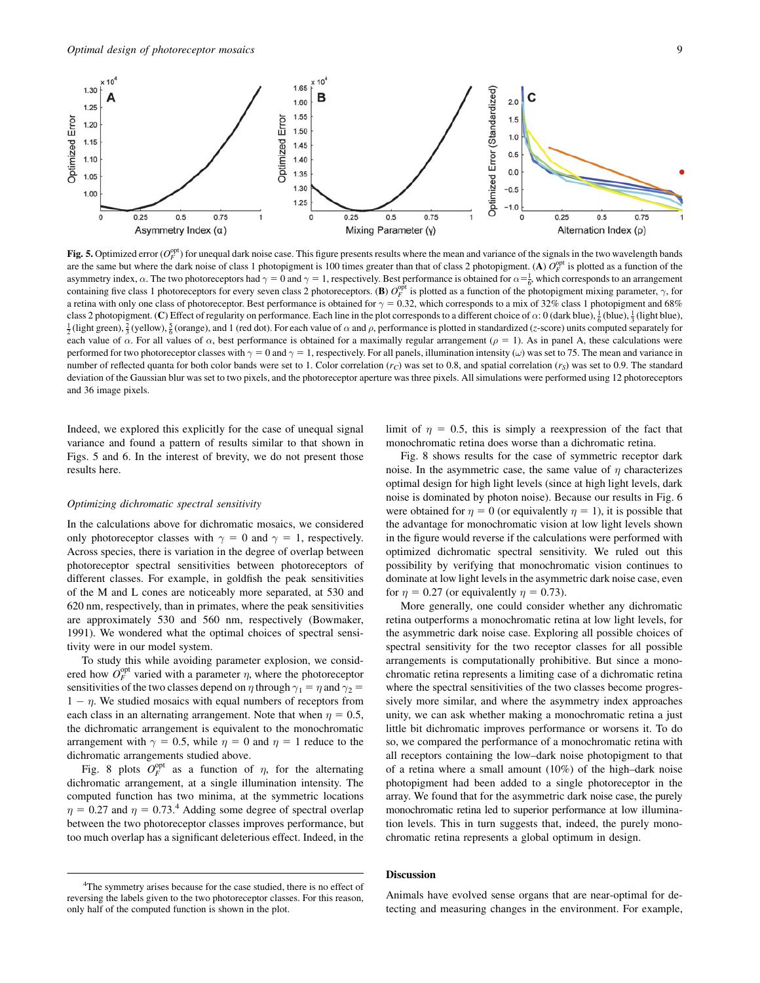

Fig. 5. Optimized error  $(O_F^{\text{opt}})$  for unequal dark noise case. This figure presents results where the mean and variance of the signals in the two wavelength bands are the same but where the dark noise of class 1 photopigment is 100 times greater than that of class 2 photopigment. (A)  $O_F^{\text{opt}}$  is plotted as a function of the asymmetry index,  $\alpha$ . The two photoreceptors had  $\gamma = 0$  and  $\gamma = 1$ , respectively. Best performance is obtained for  $\alpha = \frac{1}{6}$ , which corresponds to an arrangement containing five class 1 photoreceptors for every seven class 2 photoreceptors. (B)  $O_F^{\text{opt}}$  is plotted as a function of the photopigment mixing parameter,  $\gamma$ , for a retina with only one class of photoreceptor. Best performance is obtained for  $\gamma = 0.32$ , which corresponds to a mix of 32% class 1 photopigment and 68% class 2 photopigment. (C) Effect of regularity on performance. Each line in the plot corresponds to a different choice of  $\alpha$ : 0 (dark blue),  $\frac{1}{6}$  (blue),  $\frac{1}{3}$  (light blue),  $\frac{1}{2}$  (ight blue),  $\frac{1}{2}$  (ig  $\frac{1}{2}$ (light green),  $\frac{2}{3}$ (yellow),  $\frac{5}{6}$ (orange), and 1 (red dot). For each value of  $\alpha$  and  $\rho$ , performance is plotted in standardized (z-score) units computed separately for each value of  $\alpha$ . For all values of  $\alpha$ , best performance is obtained for a maximally regular arrangement ( $\rho = 1$ ). As in panel A, these calculations were performed for two photoreceptor classes with  $\gamma = 0$  and  $\gamma = 1$ , respectively. For all panels, illumination intensity ( $\omega$ ) was set to 75. The mean and variance in number of reflected quanta for both color bands were set to 1. Color correlation  $(r_C)$  was set to 0.8, and spatial correlation  $(r_S)$  was set to 0.9. The standard deviation of the Gaussian blur was set to two pixels, and the photoreceptor aperture was three pixels. All simulations were performed using 12 photoreceptors and 36 image pixels.

Indeed, we explored this explicitly for the case of unequal signal variance and found a pattern of results similar to that shown in Figs. 5 and 6. In the interest of brevity, we do not present those results here.

#### Optimizing dichromatic spectral sensitivity

In the calculations above for dichromatic mosaics, we considered only photoreceptor classes with  $\gamma = 0$  and  $\gamma = 1$ , respectively. Across species, there is variation in the degree of overlap between photoreceptor spectral sensitivities between photoreceptors of different classes. For example, in goldfish the peak sensitivities of the M and L cones are noticeably more separated, at 530 and 620 nm, respectively, than in primates, where the peak sensitivities are approximately 530 and 560 nm, respectively (Bowmaker, 1991). We wondered what the optimal choices of spectral sensitivity were in our model system.

To study this while avoiding parameter explosion, we considered how  $O_F^{\text{opt}}$  varied with a parameter  $\eta$ , where the photoreceptor sensitivities of the two classes depend on  $\eta$  through  $\gamma_1 = \eta$  and  $\gamma_2 =$  $1 - \eta$ . We studied mosaics with equal numbers of receptors from each class in an alternating arrangement. Note that when  $\eta = 0.5$ , the dichromatic arrangement is equivalent to the monochromatic arrangement with  $\gamma = 0.5$ , while  $\eta = 0$  and  $\eta = 1$  reduce to the dichromatic arrangements studied above.

Fig. 8 plots  $O_F^{\text{opt}}$  as a function of  $\eta$ , for the alternating dichromatic arrangement, at a single illumination intensity. The computed function has two minima, at the symmetric locations  $\eta = 0.27$  and  $\eta = 0.73$ .<sup>4</sup> Adding some degree of spectral overlap between the two photoreceptor classes improves performance, but too much overlap has a significant deleterious effect. Indeed, in the limit of  $\eta = 0.5$ , this is simply a reexpression of the fact that monochromatic retina does worse than a dichromatic retina.

Fig. 8 shows results for the case of symmetric receptor dark noise. In the asymmetric case, the same value of  $\eta$  characterizes optimal design for high light levels (since at high light levels, dark noise is dominated by photon noise). Because our results in Fig. 6 were obtained for  $\eta = 0$  (or equivalently  $\eta = 1$ ), it is possible that the advantage for monochromatic vision at low light levels shown in the figure would reverse if the calculations were performed with optimized dichromatic spectral sensitivity. We ruled out this possibility by verifying that monochromatic vision continues to dominate at low light levels in the asymmetric dark noise case, even for  $\eta = 0.27$  (or equivalently  $\eta = 0.73$ ).

More generally, one could consider whether any dichromatic retina outperforms a monochromatic retina at low light levels, for the asymmetric dark noise case. Exploring all possible choices of spectral sensitivity for the two receptor classes for all possible arrangements is computationally prohibitive. But since a monochromatic retina represents a limiting case of a dichromatic retina where the spectral sensitivities of the two classes become progressively more similar, and where the asymmetry index approaches unity, we can ask whether making a monochromatic retina a just little bit dichromatic improves performance or worsens it. To do so, we compared the performance of a monochromatic retina with all receptors containing the low–dark noise photopigment to that of a retina where a small amount (10%) of the high–dark noise photopigment had been added to a single photoreceptor in the array. We found that for the asymmetric dark noise case, the purely monochromatic retina led to superior performance at low illumination levels. This in turn suggests that, indeed, the purely monochromatic retina represents a global optimum in design.

## **Discussion**

Animals have evolved sense organs that are near-optimal for detecting and measuring changes in the environment. For example,

<sup>&</sup>lt;sup>4</sup>The symmetry arises because for the case studied, there is no effect of reversing the labels given to the two photoreceptor classes. For this reason, only half of the computed function is shown in the plot.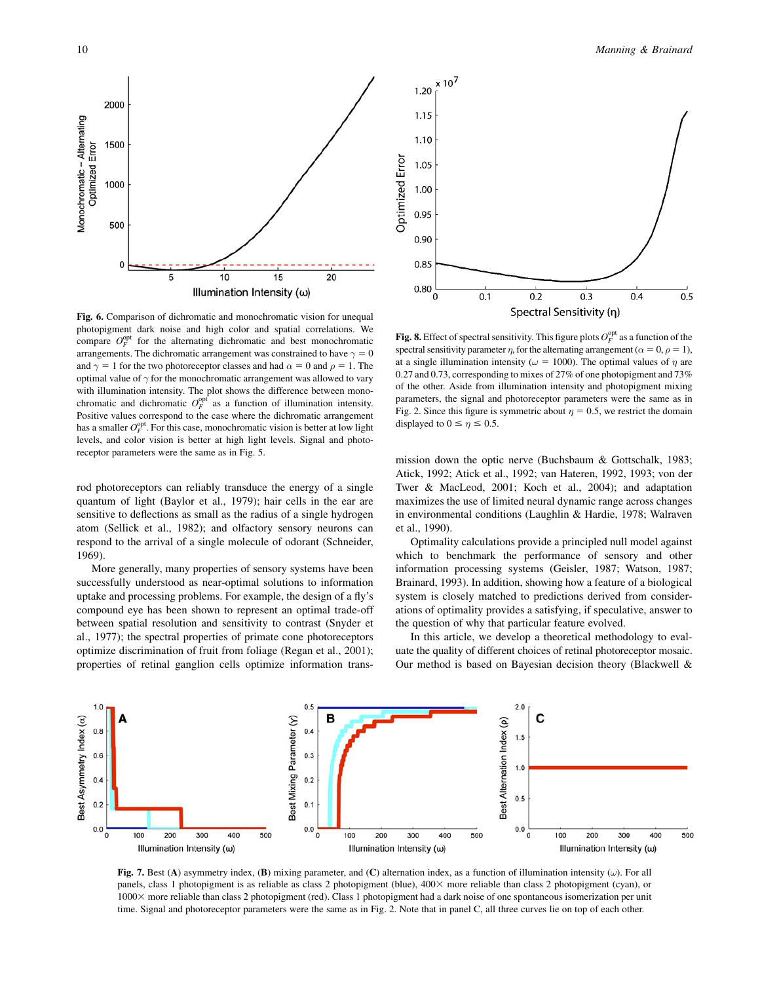Monochromatic - Alternating<br>Optimized Error

2000

1500

1000

500

0

5



10

Illumination Intensity (ω)

15

20

rod photoreceptors can reliably transduce the energy of a single quantum of light (Baylor et al., 1979); hair cells in the ear are sensitive to deflections as small as the radius of a single hydrogen atom (Sellick et al., 1982); and olfactory sensory neurons can respond to the arrival of a single molecule of odorant (Schneider, 1969).

More generally, many properties of sensory systems have been successfully understood as near-optimal solutions to information uptake and processing problems. For example, the design of a fly's compound eye has been shown to represent an optimal trade-off between spatial resolution and sensitivity to contrast (Snyder et al., 1977); the spectral properties of primate cone photoreceptors optimize discrimination of fruit from foliage (Regan et al., 2001); properties of retinal ganglion cells optimize information trans-



 $0.3$ 

Spectral Sensitivity (η)

 $0.4$ 

 $0.5$ 

**Fig. 8.** Effect of spectral sensitivity. This figure plots  $O_F^{\text{opt}}$  as a function of the spectral sensitivity parameter  $\eta$ , for the alternating arrangement ( $\alpha = 0, \rho = 1$ ), at a single illumination intensity ( $\omega = 1000$ ). The optimal values of  $\eta$  are 0.27 and 0.73, corresponding to mixes of 27% of one photopigment and 73% of the other. Aside from illumination intensity and photopigment mixing parameters, the signal and photoreceptor parameters were the same as in Fig. 2. Since this figure is symmetric about  $\eta = 0.5$ , we restrict the domain displayed to  $0 \le \eta \le 0.5$ .

 $0.2$ 

 $0.1$ 

mission down the optic nerve (Buchsbaum & Gottschalk, 1983; Atick, 1992; Atick et al., 1992; van Hateren, 1992, 1993; von der Twer & MacLeod, 2001; Koch et al., 2004); and adaptation maximizes the use of limited neural dynamic range across changes in environmental conditions (Laughlin & Hardie, 1978; Walraven et al., 1990).

Optimality calculations provide a principled null model against which to benchmark the performance of sensory and other information processing systems (Geisler, 1987; Watson, 1987; Brainard, 1993). In addition, showing how a feature of a biological system is closely matched to predictions derived from considerations of optimality provides a satisfying, if speculative, answer to the question of why that particular feature evolved.

In this article, we develop a theoretical methodology to evaluate the quality of different choices of retinal photoreceptor mosaic. Our method is based on Bayesian decision theory (Blackwell &



Optimized Error

 $0.80$ 

0

Fig. 7. Best (A) asymmetry index, (B) mixing parameter, and (C) alternation index, as a function of illumination intensity  $(\omega)$ . For all panels, class 1 photopigment is as reliable as class 2 photopigment (blue), 400× more reliable than class 2 photopigment (cyan), or 10003 more reliable than class 2 photopigment (red). Class 1 photopigment had a dark noise of one spontaneous isomerization per unit time. Signal and photoreceptor parameters were the same as in Fig. 2. Note that in panel C, all three curves lie on top of each other.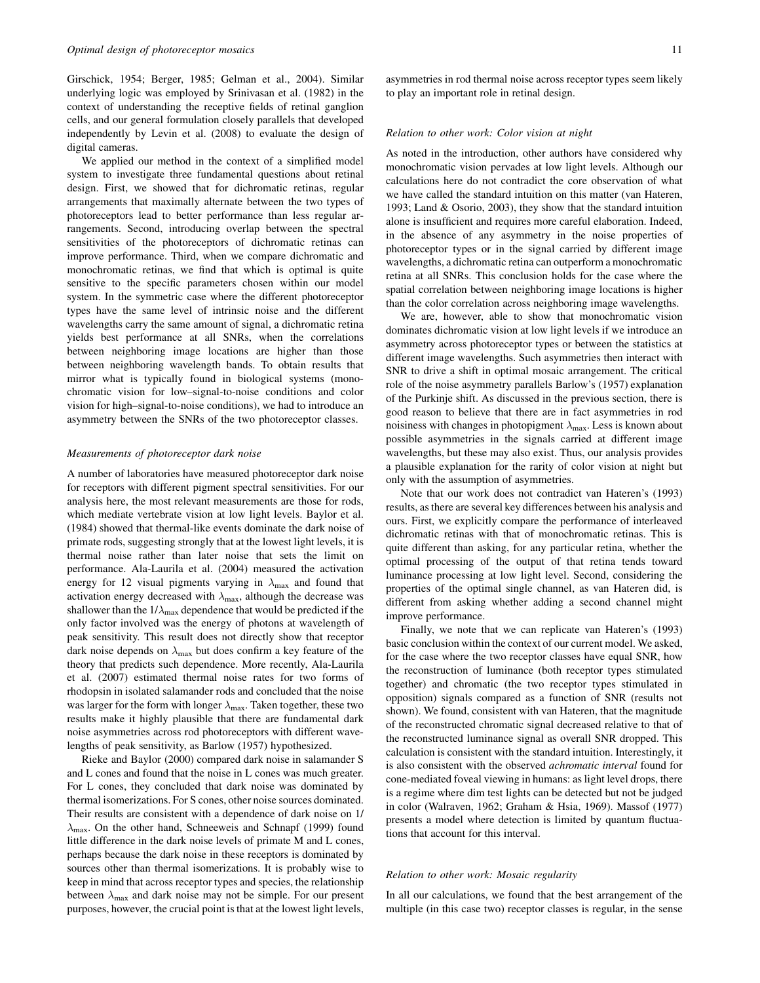Girschick, 1954; Berger, 1985; Gelman et al., 2004). Similar underlying logic was employed by Srinivasan et al. (1982) in the context of understanding the receptive fields of retinal ganglion cells, and our general formulation closely parallels that developed independently by Levin et al. (2008) to evaluate the design of digital cameras.

We applied our method in the context of a simplified model system to investigate three fundamental questions about retinal design. First, we showed that for dichromatic retinas, regular arrangements that maximally alternate between the two types of photoreceptors lead to better performance than less regular arrangements. Second, introducing overlap between the spectral sensitivities of the photoreceptors of dichromatic retinas can improve performance. Third, when we compare dichromatic and monochromatic retinas, we find that which is optimal is quite sensitive to the specific parameters chosen within our model system. In the symmetric case where the different photoreceptor types have the same level of intrinsic noise and the different wavelengths carry the same amount of signal, a dichromatic retina yields best performance at all SNRs, when the correlations between neighboring image locations are higher than those between neighboring wavelength bands. To obtain results that mirror what is typically found in biological systems (monochromatic vision for low–signal-to-noise conditions and color vision for high–signal-to-noise conditions), we had to introduce an asymmetry between the SNRs of the two photoreceptor classes.

#### Measurements of photoreceptor dark noise

A number of laboratories have measured photoreceptor dark noise for receptors with different pigment spectral sensitivities. For our analysis here, the most relevant measurements are those for rods, which mediate vertebrate vision at low light levels. Baylor et al. (1984) showed that thermal-like events dominate the dark noise of primate rods, suggesting strongly that at the lowest light levels, it is thermal noise rather than later noise that sets the limit on performance. Ala-Laurila et al. (2004) measured the activation energy for 12 visual pigments varying in  $\lambda_{\text{max}}$  and found that activation energy decreased with  $\lambda_{\text{max}}$ , although the decrease was shallower than the  $1/\lambda_{\text{max}}$  dependence that would be predicted if the only factor involved was the energy of photons at wavelength of peak sensitivity. This result does not directly show that receptor dark noise depends on  $\lambda_{\text{max}}$  but does confirm a key feature of the theory that predicts such dependence. More recently, Ala-Laurila et al. (2007) estimated thermal noise rates for two forms of rhodopsin in isolated salamander rods and concluded that the noise was larger for the form with longer  $\lambda_{\max}$ . Taken together, these two results make it highly plausible that there are fundamental dark noise asymmetries across rod photoreceptors with different wavelengths of peak sensitivity, as Barlow (1957) hypothesized.

Rieke and Baylor (2000) compared dark noise in salamander S and L cones and found that the noise in L cones was much greater. For L cones, they concluded that dark noise was dominated by thermal isomerizations. For S cones, other noise sources dominated. Their results are consistent with a dependence of dark noise on 1/  $\lambda_{\text{max}}$ . On the other hand, Schneeweis and Schnapf (1999) found little difference in the dark noise levels of primate M and L cones, perhaps because the dark noise in these receptors is dominated by sources other than thermal isomerizations. It is probably wise to keep in mind that across receptor types and species, the relationship between  $\lambda_{\text{max}}$  and dark noise may not be simple. For our present purposes, however, the crucial point is that at the lowest light levels,

#### Relation to other work: Color vision at night

As noted in the introduction, other authors have considered why monochromatic vision pervades at low light levels. Although our calculations here do not contradict the core observation of what we have called the standard intuition on this matter (van Hateren, 1993; Land & Osorio, 2003), they show that the standard intuition alone is insufficient and requires more careful elaboration. Indeed, in the absence of any asymmetry in the noise properties of photoreceptor types or in the signal carried by different image wavelengths, a dichromatic retina can outperform a monochromatic retina at all SNRs. This conclusion holds for the case where the spatial correlation between neighboring image locations is higher than the color correlation across neighboring image wavelengths.

We are, however, able to show that monochromatic vision dominates dichromatic vision at low light levels if we introduce an asymmetry across photoreceptor types or between the statistics at different image wavelengths. Such asymmetries then interact with SNR to drive a shift in optimal mosaic arrangement. The critical role of the noise asymmetry parallels Barlow's (1957) explanation of the Purkinje shift. As discussed in the previous section, there is good reason to believe that there are in fact asymmetries in rod noisiness with changes in photopigment  $\lambda_{\text{max}}$ . Less is known about possible asymmetries in the signals carried at different image wavelengths, but these may also exist. Thus, our analysis provides a plausible explanation for the rarity of color vision at night but only with the assumption of asymmetries.

Note that our work does not contradict van Hateren's (1993) results, as there are several key differences between his analysis and ours. First, we explicitly compare the performance of interleaved dichromatic retinas with that of monochromatic retinas. This is quite different than asking, for any particular retina, whether the optimal processing of the output of that retina tends toward luminance processing at low light level. Second, considering the properties of the optimal single channel, as van Hateren did, is different from asking whether adding a second channel might improve performance.

Finally, we note that we can replicate van Hateren's (1993) basic conclusion within the context of our current model. We asked, for the case where the two receptor classes have equal SNR, how the reconstruction of luminance (both receptor types stimulated together) and chromatic (the two receptor types stimulated in opposition) signals compared as a function of SNR (results not shown). We found, consistent with van Hateren, that the magnitude of the reconstructed chromatic signal decreased relative to that of the reconstructed luminance signal as overall SNR dropped. This calculation is consistent with the standard intuition. Interestingly, it is also consistent with the observed achromatic interval found for cone-mediated foveal viewing in humans: as light level drops, there is a regime where dim test lights can be detected but not be judged in color (Walraven, 1962; Graham & Hsia, 1969). Massof (1977) presents a model where detection is limited by quantum fluctuations that account for this interval.

### Relation to other work: Mosaic regularity

In all our calculations, we found that the best arrangement of the multiple (in this case two) receptor classes is regular, in the sense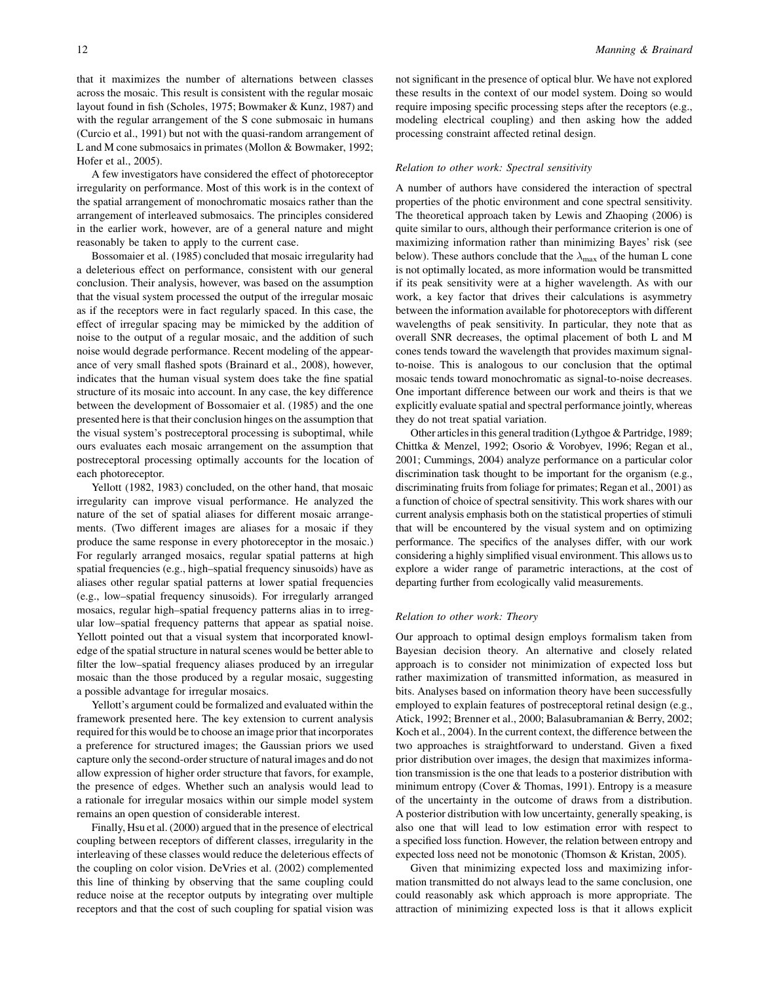that it maximizes the number of alternations between classes across the mosaic. This result is consistent with the regular mosaic layout found in fish (Scholes, 1975; Bowmaker & Kunz, 1987) and with the regular arrangement of the S cone submosaic in humans (Curcio et al., 1991) but not with the quasi-random arrangement of L and M cone submosaics in primates (Mollon & Bowmaker, 1992; Hofer et al., 2005).

A few investigators have considered the effect of photoreceptor irregularity on performance. Most of this work is in the context of the spatial arrangement of monochromatic mosaics rather than the arrangement of interleaved submosaics. The principles considered in the earlier work, however, are of a general nature and might reasonably be taken to apply to the current case.

Bossomaier et al. (1985) concluded that mosaic irregularity had a deleterious effect on performance, consistent with our general conclusion. Their analysis, however, was based on the assumption that the visual system processed the output of the irregular mosaic as if the receptors were in fact regularly spaced. In this case, the effect of irregular spacing may be mimicked by the addition of noise to the output of a regular mosaic, and the addition of such noise would degrade performance. Recent modeling of the appearance of very small flashed spots (Brainard et al., 2008), however, indicates that the human visual system does take the fine spatial structure of its mosaic into account. In any case, the key difference between the development of Bossomaier et al. (1985) and the one presented here is that their conclusion hinges on the assumption that the visual system's postreceptoral processing is suboptimal, while ours evaluates each mosaic arrangement on the assumption that postreceptoral processing optimally accounts for the location of each photoreceptor.

Yellott (1982, 1983) concluded, on the other hand, that mosaic irregularity can improve visual performance. He analyzed the nature of the set of spatial aliases for different mosaic arrangements. (Two different images are aliases for a mosaic if they produce the same response in every photoreceptor in the mosaic.) For regularly arranged mosaics, regular spatial patterns at high spatial frequencies (e.g., high–spatial frequency sinusoids) have as aliases other regular spatial patterns at lower spatial frequencies (e.g., low–spatial frequency sinusoids). For irregularly arranged mosaics, regular high–spatial frequency patterns alias in to irregular low–spatial frequency patterns that appear as spatial noise. Yellott pointed out that a visual system that incorporated knowledge of the spatial structure in natural scenes would be better able to filter the low–spatial frequency aliases produced by an irregular mosaic than the those produced by a regular mosaic, suggesting a possible advantage for irregular mosaics.

Yellott's argument could be formalized and evaluated within the framework presented here. The key extension to current analysis required for this would be to choose an image prior that incorporates a preference for structured images; the Gaussian priors we used capture only the second-order structure of natural images and do not allow expression of higher order structure that favors, for example, the presence of edges. Whether such an analysis would lead to a rationale for irregular mosaics within our simple model system remains an open question of considerable interest.

Finally, Hsu et al. (2000) argued that in the presence of electrical coupling between receptors of different classes, irregularity in the interleaving of these classes would reduce the deleterious effects of the coupling on color vision. DeVries et al. (2002) complemented this line of thinking by observing that the same coupling could reduce noise at the receptor outputs by integrating over multiple receptors and that the cost of such coupling for spatial vision was

not significant in the presence of optical blur. We have not explored these results in the context of our model system. Doing so would require imposing specific processing steps after the receptors (e.g., modeling electrical coupling) and then asking how the added processing constraint affected retinal design.

### Relation to other work: Spectral sensitivity

A number of authors have considered the interaction of spectral properties of the photic environment and cone spectral sensitivity. The theoretical approach taken by Lewis and Zhaoping (2006) is quite similar to ours, although their performance criterion is one of maximizing information rather than minimizing Bayes' risk (see below). These authors conclude that the  $\lambda_{\text{max}}$  of the human L cone is not optimally located, as more information would be transmitted if its peak sensitivity were at a higher wavelength. As with our work, a key factor that drives their calculations is asymmetry between the information available for photoreceptors with different wavelengths of peak sensitivity. In particular, they note that as overall SNR decreases, the optimal placement of both L and M cones tends toward the wavelength that provides maximum signalto-noise. This is analogous to our conclusion that the optimal mosaic tends toward monochromatic as signal-to-noise decreases. One important difference between our work and theirs is that we explicitly evaluate spatial and spectral performance jointly, whereas they do not treat spatial variation.

Other articles in this general tradition (Lythgoe & Partridge, 1989; Chittka & Menzel, 1992; Osorio & Vorobyev, 1996; Regan et al., 2001; Cummings, 2004) analyze performance on a particular color discrimination task thought to be important for the organism (e.g., discriminating fruits from foliage for primates; Regan et al., 2001) as a function of choice of spectral sensitivity. This work shares with our current analysis emphasis both on the statistical properties of stimuli that will be encountered by the visual system and on optimizing performance. The specifics of the analyses differ, with our work considering a highly simplified visual environment. This allows us to explore a wider range of parametric interactions, at the cost of departing further from ecologically valid measurements.

## Relation to other work: Theory

Our approach to optimal design employs formalism taken from Bayesian decision theory. An alternative and closely related approach is to consider not minimization of expected loss but rather maximization of transmitted information, as measured in bits. Analyses based on information theory have been successfully employed to explain features of postreceptoral retinal design (e.g., Atick, 1992; Brenner et al., 2000; Balasubramanian & Berry, 2002; Koch et al., 2004). In the current context, the difference between the two approaches is straightforward to understand. Given a fixed prior distribution over images, the design that maximizes information transmission is the one that leads to a posterior distribution with minimum entropy (Cover & Thomas, 1991). Entropy is a measure of the uncertainty in the outcome of draws from a distribution. A posterior distribution with low uncertainty, generally speaking, is also one that will lead to low estimation error with respect to a specified loss function. However, the relation between entropy and expected loss need not be monotonic (Thomson & Kristan, 2005).

Given that minimizing expected loss and maximizing information transmitted do not always lead to the same conclusion, one could reasonably ask which approach is more appropriate. The attraction of minimizing expected loss is that it allows explicit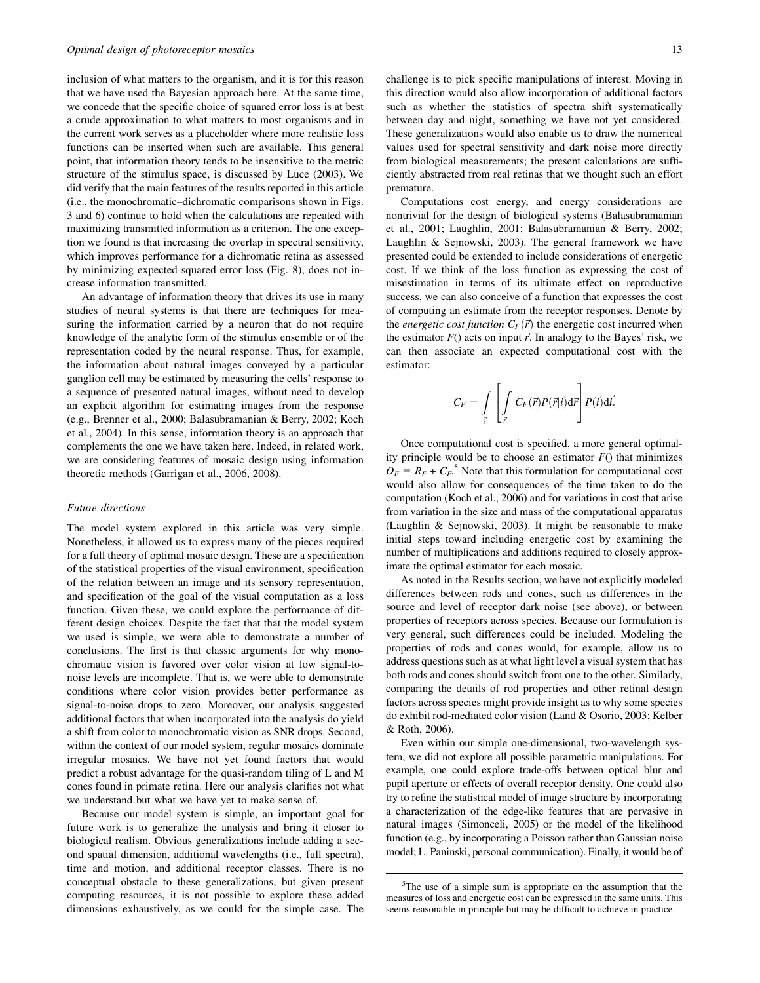inclusion of what matters to the organism, and it is for this reason that we have used the Bayesian approach here. At the same time, we concede that the specific choice of squared error loss is at best a crude approximation to what matters to most organisms and in the current work serves as a placeholder where more realistic loss functions can be inserted when such are available. This general point, that information theory tends to be insensitive to the metric structure of the stimulus space, is discussed by Luce (2003). We did verify that the main features of the results reported in this article (i.e., the monochromatic–dichromatic comparisons shown in Figs. 3 and 6) continue to hold when the calculations are repeated with maximizing transmitted information as a criterion. The one exception we found is that increasing the overlap in spectral sensitivity, which improves performance for a dichromatic retina as assessed by minimizing expected squared error loss (Fig. 8), does not increase information transmitted.

An advantage of information theory that drives its use in many studies of neural systems is that there are techniques for measuring the information carried by a neuron that do not require knowledge of the analytic form of the stimulus ensemble or of the representation coded by the neural response. Thus, for example, the information about natural images conveyed by a particular ganglion cell may be estimated by measuring the cells' response to a sequence of presented natural images, without need to develop an explicit algorithm for estimating images from the response (e.g., Brenner et al., 2000; Balasubramanian & Berry, 2002; Koch et al., 2004). In this sense, information theory is an approach that complements the one we have taken here. Indeed, in related work, we are considering features of mosaic design using information theoretic methods (Garrigan et al., 2006, 2008).

### Future directions

The model system explored in this article was very simple. Nonetheless, it allowed us to express many of the pieces required for a full theory of optimal mosaic design. These are a specification of the statistical properties of the visual environment, specification of the relation between an image and its sensory representation, and specification of the goal of the visual computation as a loss function. Given these, we could explore the performance of different design choices. Despite the fact that that the model system we used is simple, we were able to demonstrate a number of conclusions. The first is that classic arguments for why monochromatic vision is favored over color vision at low signal-tonoise levels are incomplete. That is, we were able to demonstrate conditions where color vision provides better performance as signal-to-noise drops to zero. Moreover, our analysis suggested additional factors that when incorporated into the analysis do yield a shift from color to monochromatic vision as SNR drops. Second, within the context of our model system, regular mosaics dominate irregular mosaics. We have not yet found factors that would predict a robust advantage for the quasi-random tiling of L and M cones found in primate retina. Here our analysis clarifies not what we understand but what we have yet to make sense of.

Because our model system is simple, an important goal for future work is to generalize the analysis and bring it closer to biological realism. Obvious generalizations include adding a second spatial dimension, additional wavelengths (i.e., full spectra), time and motion, and additional receptor classes. There is no conceptual obstacle to these generalizations, but given present computing resources, it is not possible to explore these added dimensions exhaustively, as we could for the simple case. The challenge is to pick specific manipulations of interest. Moving in this direction would also allow incorporation of additional factors such as whether the statistics of spectra shift systematically between day and night, something we have not yet considered. These generalizations would also enable us to draw the numerical values used for spectral sensitivity and dark noise more directly from biological measurements; the present calculations are sufficiently abstracted from real retinas that we thought such an effort premature.

Computations cost energy, and energy considerations are nontrivial for the design of biological systems (Balasubramanian et al., 2001; Laughlin, 2001; Balasubramanian & Berry, 2002; Laughlin & Sejnowski, 2003). The general framework we have presented could be extended to include considerations of energetic cost. If we think of the loss function as expressing the cost of misestimation in terms of its ultimate effect on reproductive success, we can also conceive of a function that expresses the cost of computing an estimate from the receptor responses. Denote by the *energetic cost function*  $C_F(\vec{r})$  the energetic cost incurred when the estimator  $F()$  acts on input  $\vec{r}$ . In analogy to the Bayes' risk, we can then associate an expected computational cost with the estimator:

$$
C_F = \int\limits_{\vec{i}}\left[\int\limits_{\vec{r}} C_F(\vec{r})P(\vec{r}|\vec{i})d\vec{r}\right]P(\vec{i})d\vec{i}.
$$

Once computational cost is specified, a more general optimality principle would be to choose an estimator  $F()$  that minimizes  $O_F = R_F + C_F$ <sup>5</sup> Note that this formulation for computational cost would also allow for consequences of the time taken to do the computation (Koch et al., 2006) and for variations in cost that arise from variation in the size and mass of the computational apparatus (Laughlin & Sejnowski, 2003). It might be reasonable to make initial steps toward including energetic cost by examining the number of multiplications and additions required to closely approximate the optimal estimator for each mosaic.

As noted in the Results section, we have not explicitly modeled differences between rods and cones, such as differences in the source and level of receptor dark noise (see above), or between properties of receptors across species. Because our formulation is very general, such differences could be included. Modeling the properties of rods and cones would, for example, allow us to address questions such as at what light level a visual system that has both rods and cones should switch from one to the other. Similarly, comparing the details of rod properties and other retinal design factors across species might provide insight as to why some species do exhibit rod-mediated color vision (Land & Osorio, 2003; Kelber & Roth, 2006).

Even within our simple one-dimensional, two-wavelength system, we did not explore all possible parametric manipulations. For example, one could explore trade-offs between optical blur and pupil aperture or effects of overall receptor density. One could also try to refine the statistical model of image structure by incorporating a characterization of the edge-like features that are pervasive in natural images (Simonceli, 2005) or the model of the likelihood function (e.g., by incorporating a Poisson rather than Gaussian noise model; L. Paninski, personal communication). Finally, it would be of

<sup>&</sup>lt;sup>5</sup>The use of a simple sum is appropriate on the assumption that the measures of loss and energetic cost can be expressed in the same units. This seems reasonable in principle but may be difficult to achieve in practice.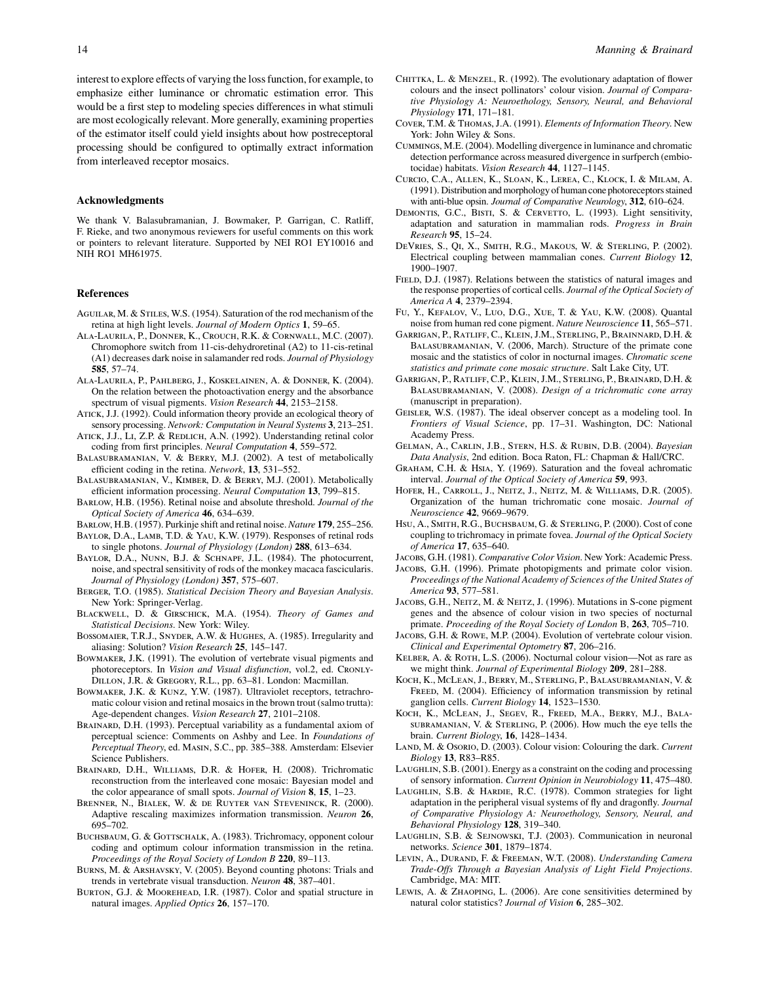interest to explore effects of varying the loss function, for example, to emphasize either luminance or chromatic estimation error. This would be a first step to modeling species differences in what stimuli are most ecologically relevant. More generally, examining properties of the estimator itself could yield insights about how postreceptoral processing should be configured to optimally extract information from interleaved receptor mosaics.

## Acknowledgments

We thank V. Balasubramanian, J. Bowmaker, P. Garrigan, C. Ratliff, F. Rieke, and two anonymous reviewers for useful comments on this work or pointers to relevant literature. Supported by NEI RO1 EY10016 and NIH RO1 MH61975.

#### References

- AGUILAR, M. & STILES, W.S. (1954). Saturation of the rod mechanism of the retina at high light levels. Journal of Modern Optics 1, 59–65.
- Ala-Laurila, P., Donner, K., Crouch, R.K. & Cornwall, M.C. (2007). Chromophore switch from 11-cis-dehydroretinal (A2) to 11-cis-retinal (A1) decreases dark noise in salamander red rods. Journal of Physiology 585, 57–74.
- Ala-Laurila, P., Pahlberg, J., Koskelainen, A. & Donner, K. (2004). On the relation between the photoactivation energy and the absorbance spectrum of visual pigments. Vision Research 44, 2153–2158.
- Atick, J.J. (1992). Could information theory provide an ecological theory of sensory processing. Network: Computation in Neural Systems 3, 213-251.
- ATICK, J.J., LI, Z.P. & REDLICH, A.N. (1992). Understanding retinal color coding from first principles. Neural Computation 4, 559–572.
- Balasubramanian, V. & Berry, M.J. (2002). A test of metabolically efficient coding in the retina. Network, 13, 531–552.
- Balasubramanian, V., Kimber, D. & Berry, M.J. (2001). Metabolically efficient information processing. Neural Computation 13, 799–815.
- Barlow, H.B. (1956). Retinal noise and absolute threshold. Journal of the Optical Society of America 46, 634–639.
- Barlow, H.B. (1957). Purkinje shift and retinal noise. Nature 179, 255–256. BAYLOR, D.A., LAMB, T.D. & YAU, K.W. (1979). Responses of retinal rods
- to single photons. Journal of Physiology (London) 288, 613-634. BAYLOR, D.A., NUNN, B.J. & SCHNAPF, J.L. (1984). The photocurrent, noise, and spectral sensitivity of rods of the monkey macaca fascicularis. Journal of Physiology (London) 357, 575–607.
- BERGER, T.O. (1985). Statistical Decision Theory and Bayesian Analysis. New York: Springer-Verlag.
- BLACKWELL, D. & GIRSCHICK, M.A. (1954). Theory of Games and Statistical Decisions. New York: Wiley.
- Bossomaier, T.R.J., Snyder, A.W. & Hughes, A. (1985). Irregularity and aliasing: Solution? Vision Research 25, 145–147.
- Bowmaker, J.K. (1991). The evolution of vertebrate visual pigments and photoreceptors. In Vision and Visual disfunction, vol.2, ed. CRONLY-Dillon, J.R. & Gregory, R.L., pp. 63–81. London: Macmillan.
- BOWMAKER, J.K. & KUNZ, Y.W. (1987). Ultraviolet receptors, tetrachromatic colour vision and retinal mosaics in the brown trout (salmo trutta): Age-dependent changes. Vision Research 27, 2101–2108.
- BRAINARD, D.H. (1993). Perceptual variability as a fundamental axiom of perceptual science: Comments on Ashby and Lee. In Foundations of Perceptual Theory, ed. Masin, S.C., pp. 385–388. Amsterdam: Elsevier Science Publishers.
- Brainard, D.H., Williams, D.R. & Hofer, H. (2008). Trichromatic reconstruction from the interleaved cone mosaic: Bayesian model and the color appearance of small spots. Journal of Vision 8, 15, 1-23.
- Brenner, N., Bialek, W. & de Ruyter van Steveninck, R. (2000). Adaptive rescaling maximizes information transmission. Neuron 26, 695–702.
- BUCHSBAUM, G. & GOTTSCHALK, A. (1983). Trichromacy, opponent colour coding and optimum colour information transmission in the retina. Proceedings of the Royal Society of London B 220, 89–113.
- Burns, M. & Arshavsky, V. (2005). Beyond counting photons: Trials and trends in vertebrate visual transduction. Neuron 48, 387–401.
- Burton, G.J. & Moorehead, I.R. (1987). Color and spatial structure in natural images. Applied Optics 26, 157–170.
- CHITTKA, L. & MENZEL, R. (1992). The evolutionary adaptation of flower colours and the insect pollinators' colour vision. Journal of Comparative Physiology A: Neuroethology, Sensory, Neural, and Behavioral Physiology 171, 171–181.
- Cover, T.M. & Thomas, J.A. (1991). Elements of Information Theory. New York: John Wiley & Sons.
- Cummings, M.E. (2004). Modelling divergence in luminance and chromatic detection performance across measured divergence in surfperch (embiotocidae) habitats. Vision Research 44, 1127–1145.
- Curcio, C.A., Allen, K., Sloan, K., Lerea, C., Klock, I. & Milam, A. (1991). Distribution and morphology of human cone photoreceptors stained with anti-blue opsin. Journal of Comparative Neurology, 312, 610–624.
- DEMONTIS, G.C., BISTI, S. & CERVETTO, L. (1993). Light sensitivity, adaptation and saturation in mammalian rods. Progress in Brain Research 95, 15–24.
- DeVries, S., Qi, X., Smith, R.G., Makous, W. & Sterling, P. (2002). Electrical coupling between mammalian cones. Current Biology 12, 1900–1907.
- FIELD, D.J. (1987). Relations between the statistics of natural images and the response properties of cortical cells. Journal of the Optical Society of America A 4, 2379–2394.
- Fu, Y., Kefalov, V., Luo, D.G., Xue, T. & Yau, K.W. (2008). Quantal noise from human red cone pigment. Nature Neuroscience 11, 565–571.
- Garrigan, P., Ratliff, C., Klein, J.M., Sterling, P., Brainnard, D.H. & Balasubramanian, V. (2006, March). Structure of the primate cone mosaic and the statistics of color in nocturnal images. Chromatic scene statistics and primate cone mosaic structure. Salt Lake City, UT.
- Garrigan, P., Ratliff, C.P., Klein, J.M., Sterling, P., Brainard, D.H. & BALASUBRAMANIAN, V. (2008). Design of a trichromatic cone array (manuscript in preparation).
- Geisler, W.S. (1987). The ideal observer concept as a modeling tool. In Frontiers of Visual Science, pp. 17–31. Washington, DC: National Academy Press.
- Gelman, A., Carlin, J.B., Stern, H.S. & Rubin, D.B. (2004). Bayesian Data Analysis, 2nd edition. Boca Raton, FL: Chapman & Hall/CRC.
- GRAHAM, C.H. & HSIA, Y. (1969). Saturation and the foveal achromatic interval. Journal of the Optical Society of America 59, 993.
- Hofer, H., Carroll, J., Neitz, J., Neitz, M. & Williams, D.R. (2005). Organization of the human trichromatic cone mosaic. Journal of Neuroscience 42, 9669–9679.
- Hsu, A., Smith, R.G., Buchsbaum, G. & Sterling, P. (2000). Cost of cone coupling to trichromacy in primate fovea. Journal of the Optical Society of America 17, 635–640.

Jacobs, G.H. (1981). Comparative Color Vision. New York: Academic Press.

- Jacobs, G.H. (1996). Primate photopigments and primate color vision. Proceedings of the National Academy of Sciences of the United States of America 93, 577–581.
- JACOBS, G.H., NEITZ, M. & NEITZ, J. (1996). Mutations in S-cone pigment genes and the absence of colour vision in two species of nocturnal primate. Proceeding of the Royal Society of London B, 263, 705–710.
- Jacobs, G.H. & Rowe, M.P. (2004). Evolution of vertebrate colour vision. Clinical and Experimental Optometry 87, 206–216.
- Kelber, A. & Roth, L.S. (2006). Nocturnal colour vision—Not as rare as we might think. Journal of Experimental Biology 209, 281–288.
- Koch, K., McLean, J., Berry, M., Sterling, P., Balasubramanian, V. & FREED, M. (2004). Efficiency of information transmission by retinal ganglion cells. Current Biology 14, 1523–1530.
- Koch, K., McLean, J., Segev, R., Freed, M.A., Berry, M.J., Balasubramanian, V. & Sterling, P. (2006). How much the eye tells the brain. Current Biology, 16, 1428–1434.
- LAND, M. & OSORIO, D. (2003). Colour vision: Colouring the dark. Current Biology 13, R83–R85.
- LAUGHLIN, S.B. (2001). Energy as a constraint on the coding and processing of sensory information. Current Opinion in Neurobiology 11, 475–480.
- Laughlin, S.B. & Hardie, R.C. (1978). Common strategies for light adaptation in the peripheral visual systems of fly and dragonfly. Journal of Comparative Physiology A: Neuroethology, Sensory, Neural, and Behavioral Physiology 128, 319–340.
- Laughlin, S.B. & Sejnowski, T.J. (2003). Communication in neuronal networks. Science 301, 1879–1874.
- Levin, A., Durand, F. & Freeman, W.T. (2008). Understanding Camera Trade-Offs Through a Bayesian Analysis of Light Field Projections. Cambridge, MA: MIT.
- Lewis, A. & Zhaoping, L. (2006). Are cone sensitivities determined by natural color statistics? Journal of Vision 6, 285-302.